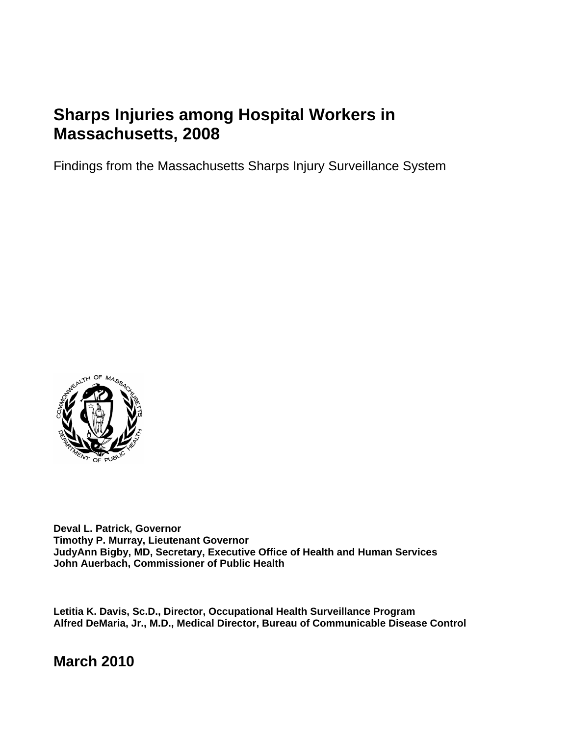# **Sharps Injuries among Hospital Workers in Massachusetts, 2008**

Findings from the Massachusetts Sharps Injury Surveillance System



**Deval L. Patrick, Governor Timothy P. Murray, Lieutenant Governor JudyAnn Bigby, MD, Secretary, Executive Office of Health and Human Services John Auerbach, Commissioner of Public Health** 

**Letitia K. Davis, Sc.D., Director, Occupational Health Surveillance Program Alfred DeMaria, Jr., M.D., Medical Director, Bureau of Communicable Disease Control** 

**March 2010**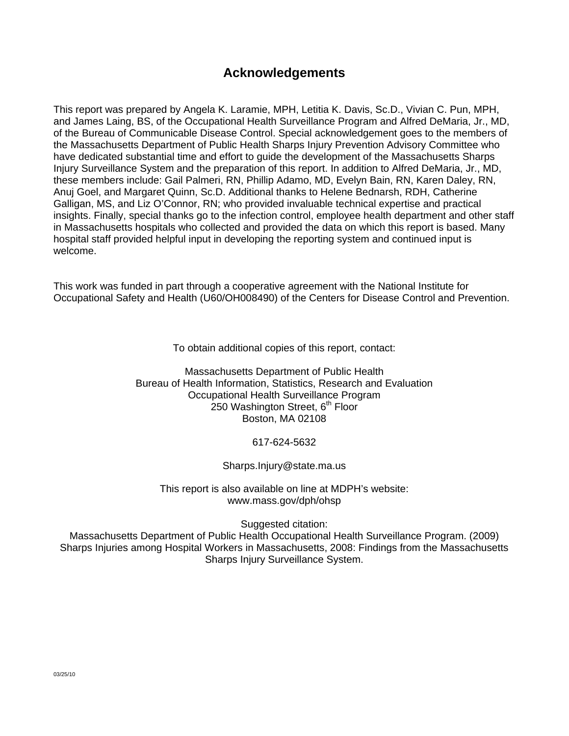# **Acknowledgements**

This report was prepared by Angela K. Laramie, MPH, Letitia K. Davis, Sc.D., Vivian C. Pun, MPH, and James Laing, BS, of the Occupational Health Surveillance Program and Alfred DeMaria, Jr., MD, of the Bureau of Communicable Disease Control. Special acknowledgement goes to the members of the Massachusetts Department of Public Health Sharps Injury Prevention Advisory Committee who have dedicated substantial time and effort to guide the development of the Massachusetts Sharps Injury Surveillance System and the preparation of this report. In addition to Alfred DeMaria, Jr., MD, these members include: Gail Palmeri, RN, Phillip Adamo, MD, Evelyn Bain, RN, Karen Daley, RN, Anuj Goel, and Margaret Quinn, Sc.D. Additional thanks to Helene Bednarsh, RDH, Catherine Galligan, MS, and Liz O'Connor, RN; who provided invaluable technical expertise and practical insights. Finally, special thanks go to the infection control, employee health department and other staff in Massachusetts hospitals who collected and provided the data on which this report is based. Many hospital staff provided helpful input in developing the reporting system and continued input is welcome.

This work was funded in part through a cooperative agreement with the National Institute for Occupational Safety and Health (U60/OH008490) of the Centers for Disease Control and Prevention.

To obtain additional copies of this report, contact:

Massachusetts Department of Public Health Bureau of Health Information, Statistics, Research and Evaluation Occupational Health Surveillance Program 250 Washington Street, 6<sup>th</sup> Floor Boston, MA 02108

617-624-5632

Sharps.Injury@state.ma.us

This report is also available on line at MDPH's website: www.mass.gov/dph/ohsp

Suggested citation:

Massachusetts Department of Public Health Occupational Health Surveillance Program. (2009) Sharps Injuries among Hospital Workers in Massachusetts, 2008: Findings from the Massachusetts Sharps Injury Surveillance System.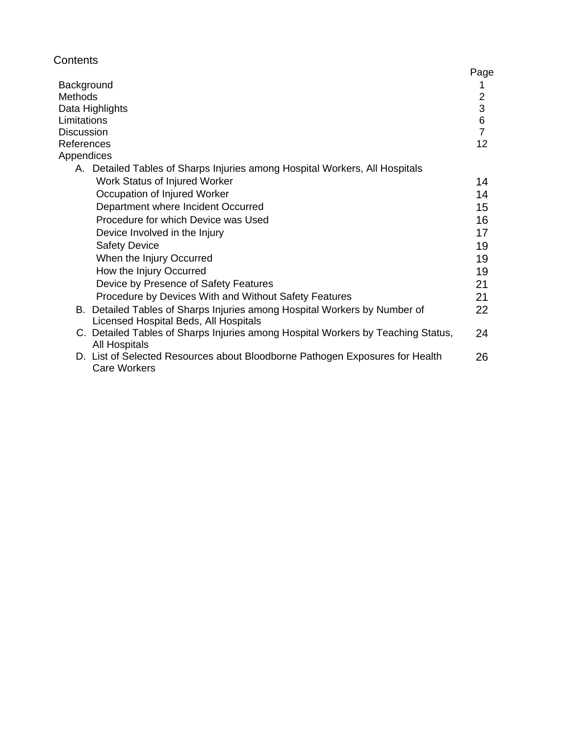| Contents                                                                       | Pago |
|--------------------------------------------------------------------------------|------|
| Background                                                                     |      |
| <b>Methods</b>                                                                 | 2    |
| Data Highlights                                                                | 3    |
| Limitations                                                                    | 6    |
| <b>Discussion</b>                                                              |      |
| References                                                                     | 12   |
| Appendices                                                                     |      |
| Detailed Tables of Sharps Injuries among Hospital Workers, All Hospitals<br>Α. |      |
| Work Status of Injured Worker                                                  | 14   |
| Occupation of Injured Worker                                                   | 14   |
| Department where Incident Occurred                                             | 15   |
| Procedure for which Device was Used                                            | 16   |
| Device Involved in the Injury                                                  | 17   |
| Safaty Dovice                                                                  | 10   |

| Device Involved in the Injury                                                    | 17 |
|----------------------------------------------------------------------------------|----|
| <b>Safety Device</b>                                                             | 19 |
| When the Injury Occurred                                                         | 19 |
| How the Injury Occurred                                                          | 19 |
| Device by Presence of Safety Features                                            | 21 |
| Procedure by Devices With and Without Safety Features                            | 21 |
| B. Detailed Tables of Sharps Injuries among Hospital Workers by Number of        | 22 |
| Licensed Hospital Beds, All Hospitals                                            |    |
| C. Detailed Tables of Sharps Injuries among Hospital Workers by Teaching Status, | 24 |
| <b>All Hospitals</b>                                                             |    |
| D. List of Selected Resources about Bloodborne Pathogen Exposures for Health     | 26 |
|                                                                                  |    |

Page  $\frac{1}{2}$   $\frac{2}{3}$  6  $\frac{7}{12}$ 

Care Workers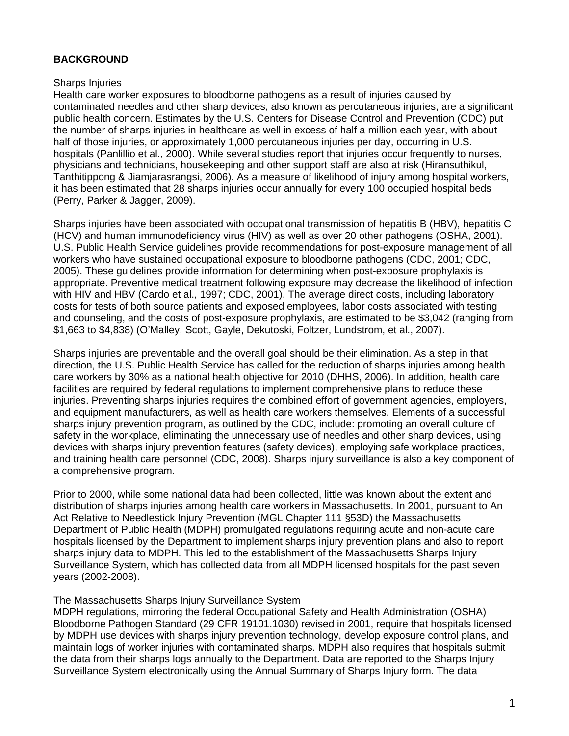### **BACKGROUND**

#### Sharps Injuries

Health care worker exposures to bloodborne pathogens as a result of injuries caused by contaminated needles and other sharp devices, also known as percutaneous injuries, are a significant public health concern. Estimates by the U.S. Centers for Disease Control and Prevention (CDC) put the number of sharps injuries in healthcare as well in excess of half a million each year, with about half of those injuries, or approximately 1,000 percutaneous injuries per day, occurring in U.S. hospitals (Panlillio et al., 2000). While several studies report that injuries occur frequently to nurses, physicians and technicians, housekeeping and other support staff are also at risk (Hiransuthikul, Tanthitippong & Jiamjarasrangsi, 2006). As a measure of likelihood of injury among hospital workers, it has been estimated that 28 sharps injuries occur annually for every 100 occupied hospital beds (Perry, Parker & Jagger, 2009).

Sharps injuries have been associated with occupational transmission of hepatitis B (HBV), hepatitis C (HCV) and human immunodeficiency virus (HIV) as well as over 20 other pathogens (OSHA, 2001). U.S. Public Health Service guidelines provide recommendations for post-exposure management of all workers who have sustained occupational exposure to bloodborne pathogens (CDC, 2001; CDC, 2005). These guidelines provide information for determining when post-exposure prophylaxis is appropriate. Preventive medical treatment following exposure may decrease the likelihood of infection with HIV and HBV (Cardo et al., 1997; CDC, 2001). The average direct costs, including laboratory costs for tests of both source patients and exposed employees, labor costs associated with testing and counseling, and the costs of post-exposure prophylaxis, are estimated to be \$3,042 (ranging from \$1,663 to \$4,838) (O'Malley, Scott, Gayle, Dekutoski, Foltzer, Lundstrom, et al., 2007).

Sharps injuries are preventable and the overall goal should be their elimination. As a step in that direction, the U.S. Public Health Service has called for the reduction of sharps injuries among health care workers by 30% as a national health objective for 2010 (DHHS, 2006). In addition, health care facilities are required by federal regulations to implement comprehensive plans to reduce these injuries. Preventing sharps injuries requires the combined effort of government agencies, employers, and equipment manufacturers, as well as health care workers themselves. Elements of a successful sharps injury prevention program, as outlined by the CDC, include: promoting an overall culture of safety in the workplace, eliminating the unnecessary use of needles and other sharp devices, using devices with sharps injury prevention features (safety devices), employing safe workplace practices, and training health care personnel (CDC, 2008). Sharps injury surveillance is also a key component of a comprehensive program.

Prior to 2000, while some national data had been collected, little was known about the extent and distribution of sharps injuries among health care workers in Massachusetts. In 2001, pursuant to An Act Relative to Needlestick Injury Prevention (MGL Chapter 111 §53D) the Massachusetts Department of Public Health (MDPH) promulgated regulations requiring acute and non-acute care hospitals licensed by the Department to implement sharps injury prevention plans and also to report sharps injury data to MDPH. This led to the establishment of the Massachusetts Sharps Injury Surveillance System, which has collected data from all MDPH licensed hospitals for the past seven years (2002-2008).

#### The Massachusetts Sharps Injury Surveillance System

MDPH regulations, mirroring the federal Occupational Safety and Health Administration (OSHA) Bloodborne Pathogen Standard (29 CFR 19101.1030) revised in 2001, require that hospitals licensed by MDPH use devices with sharps injury prevention technology, develop exposure control plans, and maintain logs of worker injuries with contaminated sharps. MDPH also requires that hospitals submit the data from their sharps logs annually to the Department. Data are reported to the Sharps Injury Surveillance System electronically using the Annual Summary of Sharps Injury form. The data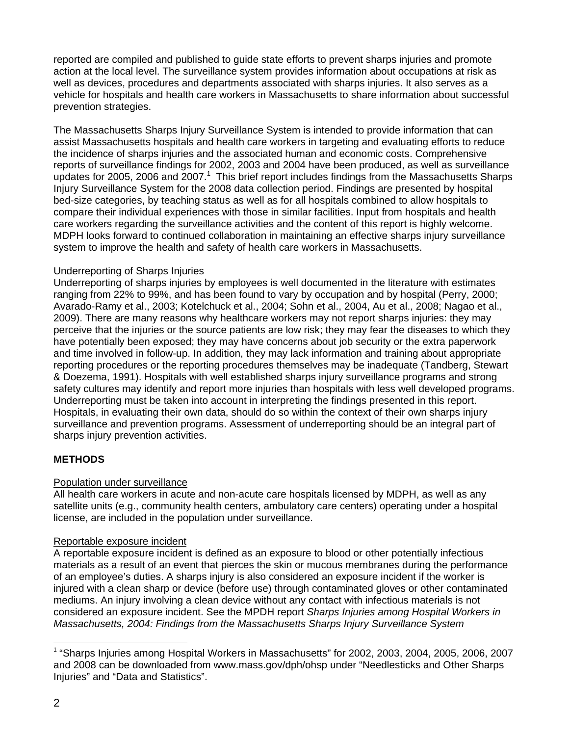reported are compiled and published to guide state efforts to prevent sharps injuries and promote action at the local level. The surveillance system provides information about occupations at risk as well as devices, procedures and departments associated with sharps injuries. It also serves as a vehicle for hospitals and health care workers in Massachusetts to share information about successful prevention strategies.

The Massachusetts Sharps Injury Surveillance System is intended to provide information that can assist Massachusetts hospitals and health care workers in targeting and evaluating efforts to reduce the incidence of sharps injuries and the associated human and economic costs. Comprehensive reports of surveillance findings for 2002, 2003 and 2004 have been produced, as well as surveillance updates for 2005, 2006 and  $2007<sup>1</sup>$  This brief report includes findings from the Massachusetts Sharps Injury Surveillance System for the 2008 data collection period. Findings are presented by hospital bed-size categories, by teaching status as well as for all hospitals combined to allow hospitals to compare their individual experiences with those in similar facilities. Input from hospitals and health care workers regarding the surveillance activities and the content of this report is highly welcome. MDPH looks forward to continued collaboration in maintaining an effective sharps injury surveillance system to improve the health and safety of health care workers in Massachusetts.

#### Underreporting of Sharps Injuries

Underreporting of sharps injuries by employees is well documented in the literature with estimates ranging from 22% to 99%, and has been found to vary by occupation and by hospital (Perry, 2000; Avarado-Ramy et al., 2003; Kotelchuck et al., 2004; Sohn et al., 2004, Au et al., 2008; Nagao et al., 2009). There are many reasons why healthcare workers may not report sharps injuries: they may perceive that the injuries or the source patients are low risk; they may fear the diseases to which they have potentially been exposed; they may have concerns about job security or the extra paperwork and time involved in follow-up. In addition, they may lack information and training about appropriate reporting procedures or the reporting procedures themselves may be inadequate (Tandberg, Stewart & Doezema, 1991). Hospitals with well established sharps injury surveillance programs and strong safety cultures may identify and report more injuries than hospitals with less well developed programs. Underreporting must be taken into account in interpreting the findings presented in this report. Hospitals, in evaluating their own data, should do so within the context of their own sharps injury surveillance and prevention programs. Assessment of underreporting should be an integral part of sharps injury prevention activities.

# **METHODS**

# Population under surveillance

All health care workers in acute and non-acute care hospitals licensed by MDPH, as well as any satellite units (e.g., community health centers, ambulatory care centers) operating under a hospital license, are included in the population under surveillance.

# Reportable exposure incident

A reportable exposure incident is defined as an exposure to blood or other potentially infectious materials as a result of an event that pierces the skin or mucous membranes during the performance of an employee's duties. A sharps injury is also considered an exposure incident if the worker is injured with a clean sharp or device (before use) through contaminated gloves or other contaminated mediums. An injury involving a clean device without any contact with infectious materials is not considered an exposure incident. See the MPDH report *Sharps Injuries among Hospital Workers in Massachusetts, 2004: Findings from the Massachusetts Sharps Injury Surveillance System* 

l

<sup>1</sup> "Sharps Injuries among Hospital Workers in Massachusetts" for 2002, 2003, 2004, 2005, 2006, 2007 and 2008 can be downloaded from www.mass.gov/dph/ohsp under "Needlesticks and Other Sharps Injuries" and "Data and Statistics".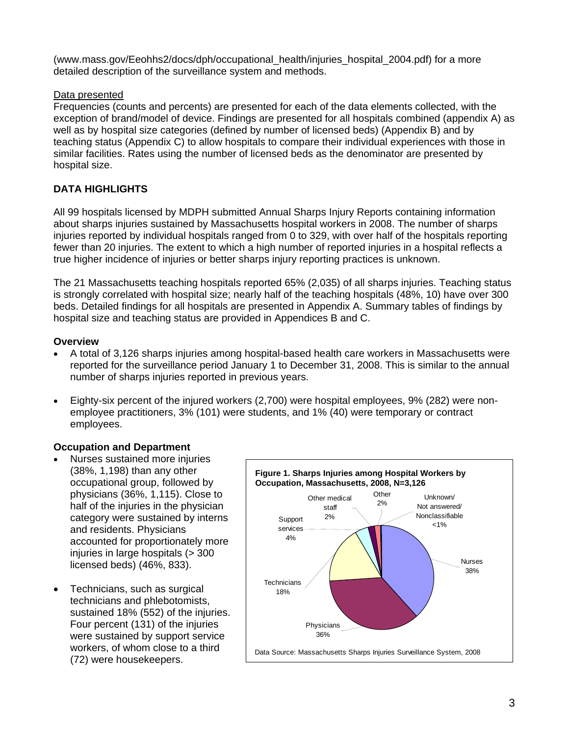(www.mass.gov/Eeohhs2/docs/dph/occupational\_health/injuries\_hospital\_2004.pdf) for a more detailed description of the surveillance system and methods.

### Data presented

Frequencies (counts and percents) are presented for each of the data elements collected, with the exception of brand/model of device. Findings are presented for all hospitals combined (appendix A) as well as by hospital size categories (defined by number of licensed beds) (Appendix B) and by teaching status (Appendix C) to allow hospitals to compare their individual experiences with those in similar facilities. Rates using the number of licensed beds as the denominator are presented by hospital size.

# **DATA HIGHLIGHTS**

All 99 hospitals licensed by MDPH submitted Annual Sharps Injury Reports containing information about sharps injuries sustained by Massachusetts hospital workers in 2008. The number of sharps injuries reported by individual hospitals ranged from 0 to 329, with over half of the hospitals reporting fewer than 20 injuries. The extent to which a high number of reported injuries in a hospital reflects a true higher incidence of injuries or better sharps injury reporting practices is unknown.

The 21 Massachusetts teaching hospitals reported 65% (2,035) of all sharps injuries. Teaching status is strongly correlated with hospital size; nearly half of the teaching hospitals (48%, 10) have over 300 beds. Detailed findings for all hospitals are presented in Appendix A. Summary tables of findings by hospital size and teaching status are provided in Appendices B and C.

#### **Overview**

- A total of 3,126 sharps injuries among hospital-based health care workers in Massachusetts were reported for the surveillance period January 1 to December 31, 2008. This is similar to the annual number of sharps injuries reported in previous years.
- Eighty-six percent of the injured workers (2,700) were hospital employees, 9% (282) were nonemployee practitioners, 3% (101) were students, and 1% (40) were temporary or contract employees.

# **Occupation and Department**

- Nurses sustained more injuries (38%, 1,198) than any other occupational group, followed by physicians (36%, 1,115). Close to half of the injuries in the physician category were sustained by interns and residents. Physicians accounted for proportionately more injuries in large hospitals (> 300 licensed beds) (46%, 833).
- Technicians, such as surgical technicians and phlebotomists, sustained 18% (552) of the injuries. Four percent (131) of the injuries were sustained by support service workers, of whom close to a third (72) were housekeepers.

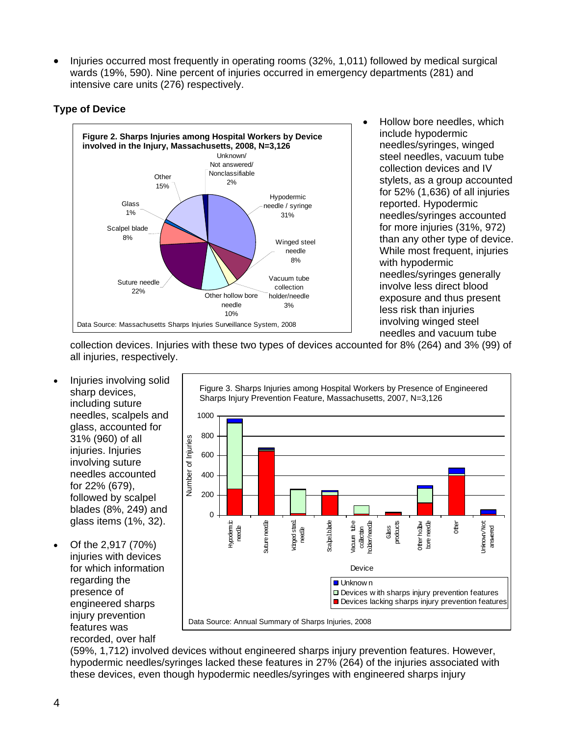• Injuries occurred most frequently in operating rooms (32%, 1,011) followed by medical surgical wards (19%, 590). Nine percent of injuries occurred in emergency departments (281) and intensive care units (276) respectively.

# **Type of Device**



• Hollow bore needles, which include hypodermic needles/syringes, winged steel needles, vacuum tube collection devices and IV stylets, as a group accounted for 52% (1,636) of all injuries reported. Hypodermic needles/syringes accounted for more injuries (31%, 972) than any other type of device. While most frequent, injuries with hypodermic needles/syringes generally involve less direct blood exposure and thus present less risk than injuries involving winged steel needles and vacuum tube

collection devices. Injuries with these two types of devices accounted for 8% (264) and 3% (99) of all injuries, respectively.

- Injuries involving solid sharp devices, including suture needles, scalpels and glass, accounted for 31% (960) of all injuries. Injuries involving suture needles accounted for 22% (679), followed by scalpel blades (8%, 249) and glass items (1%, 32).
- Of the 2,917 (70%) injuries with devices for which information regarding the presence of engineered sharps injury prevention features was recorded, over half



(59%, 1,712) involved devices without engineered sharps injury prevention features. However, hypodermic needles/syringes lacked these features in 27% (264) of the injuries associated with these devices, even though hypodermic needles/syringes with engineered sharps injury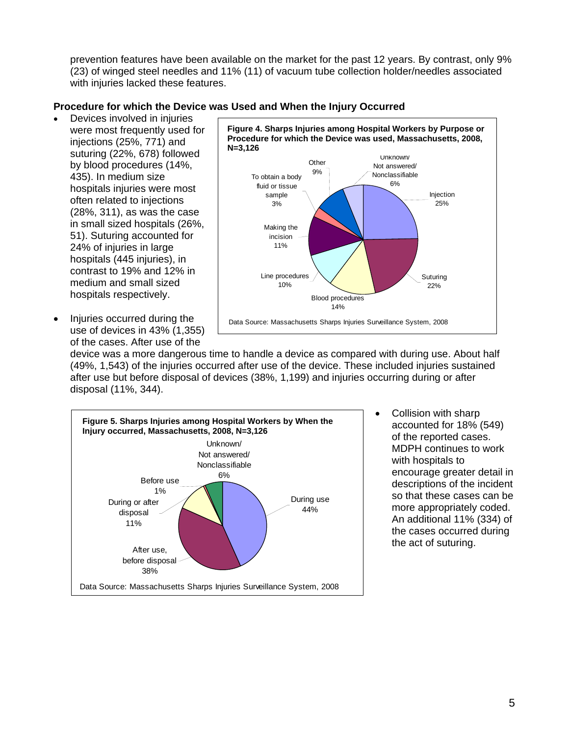prevention features have been available on the market for the past 12 years. By contrast, only 9% (23) of winged steel needles and 11% (11) of vacuum tube collection holder/needles associated with injuries lacked these features.

#### **Procedure for which the Device was Used and When the Injury Occurred**

- Devices involved in injuries were most frequently used for injections (25%, 771) and suturing (22%, 678) followed by blood procedures (14%, 435). In medium size hospitals injuries were most often related to injections (28%, 311), as was the case in small sized hospitals (26%, 51). Suturing accounted for 24% of injuries in large hospitals (445 injuries), in contrast to 19% and 12% in medium and small sized hospitals respectively.
- Injuries occurred during the use of devices in 43% (1,355) of the cases. After use of the



device was a more dangerous time to handle a device as compared with during use. About half (49%, 1,543) of the injuries occurred after use of the device. These included injuries sustained after use but before disposal of devices (38%, 1,199) and injuries occurring during or after disposal (11%, 344).



• Collision with sharp accounted for 18% (549) of the reported cases. MDPH continues to work with hospitals to encourage greater detail in descriptions of the incident so that these cases can be more appropriately coded. An additional 11% (334) of the cases occurred during the act of suturing.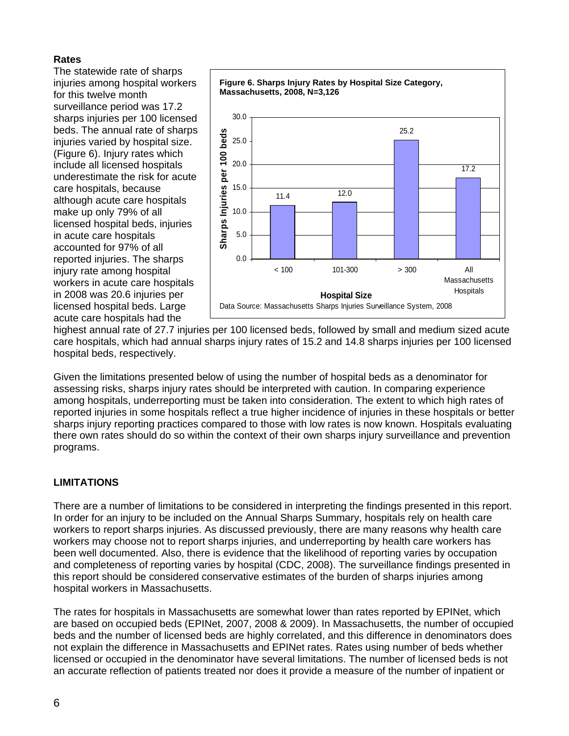#### **Rates**

The statewide rate of sharps injuries among hospital workers for this twelve month surveillance period was 17.2 sharps injuries per 100 licensed beds. The annual rate of sharps injuries varied by hospital size. (Figure 6). Injury rates which include all licensed hospitals underestimate the risk for acute care hospitals, because although acute care hospitals make up only 79% of all licensed hospital beds, injuries in acute care hospitals accounted for 97% of all reported injuries. The sharps injury rate among hospital workers in acute care hospitals in 2008 was 20.6 injuries per licensed hospital beds. Large acute care hospitals had the



highest annual rate of 27.7 injuries per 100 licensed beds, followed by small and medium sized acute care hospitals, which had annual sharps injury rates of 15.2 and 14.8 sharps injuries per 100 licensed hospital beds, respectively.

Given the limitations presented below of using the number of hospital beds as a denominator for assessing risks, sharps injury rates should be interpreted with caution. In comparing experience among hospitals, underreporting must be taken into consideration. The extent to which high rates of reported injuries in some hospitals reflect a true higher incidence of injuries in these hospitals or better sharps injury reporting practices compared to those with low rates is now known. Hospitals evaluating there own rates should do so within the context of their own sharps injury surveillance and prevention programs.

# **LIMITATIONS**

There are a number of limitations to be considered in interpreting the findings presented in this report. In order for an injury to be included on the Annual Sharps Summary, hospitals rely on health care workers to report sharps injuries. As discussed previously, there are many reasons why health care workers may choose not to report sharps injuries, and underreporting by health care workers has been well documented. Also, there is evidence that the likelihood of reporting varies by occupation and completeness of reporting varies by hospital (CDC, 2008). The surveillance findings presented in this report should be considered conservative estimates of the burden of sharps injuries among hospital workers in Massachusetts.

The rates for hospitals in Massachusetts are somewhat lower than rates reported by EPINet, which are based on occupied beds (EPINet, 2007, 2008 & 2009). In Massachusetts, the number of occupied beds and the number of licensed beds are highly correlated, and this difference in denominators does not explain the difference in Massachusetts and EPINet rates. Rates using number of beds whether licensed or occupied in the denominator have several limitations. The number of licensed beds is not an accurate reflection of patients treated nor does it provide a measure of the number of inpatient or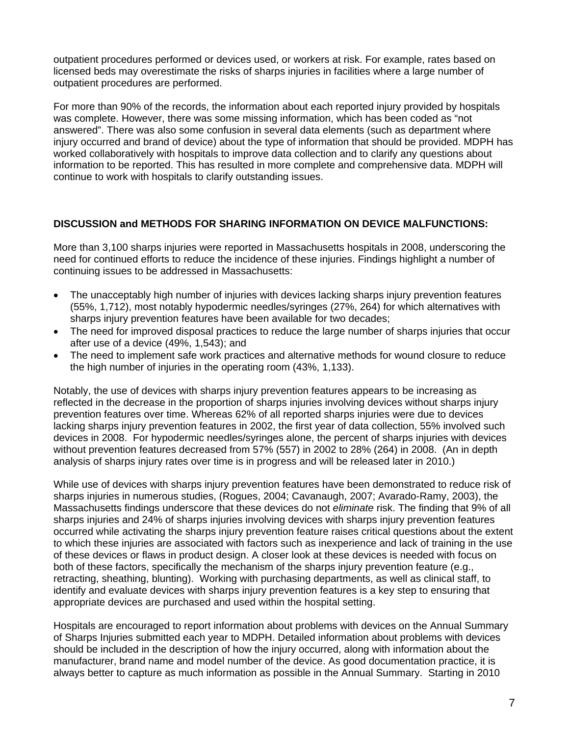outpatient procedures performed or devices used, or workers at risk. For example, rates based on licensed beds may overestimate the risks of sharps injuries in facilities where a large number of outpatient procedures are performed.

For more than 90% of the records, the information about each reported injury provided by hospitals was complete. However, there was some missing information, which has been coded as "not answered". There was also some confusion in several data elements (such as department where injury occurred and brand of device) about the type of information that should be provided. MDPH has worked collaboratively with hospitals to improve data collection and to clarify any questions about information to be reported. This has resulted in more complete and comprehensive data. MDPH will continue to work with hospitals to clarify outstanding issues.

#### **DISCUSSION and METHODS FOR SHARING INFORMATION ON DEVICE MALFUNCTIONS:**

More than 3,100 sharps injuries were reported in Massachusetts hospitals in 2008, underscoring the need for continued efforts to reduce the incidence of these injuries. Findings highlight a number of continuing issues to be addressed in Massachusetts:

- The unacceptably high number of injuries with devices lacking sharps injury prevention features (55%, 1,712), most notably hypodermic needles/syringes (27%, 264) for which alternatives with sharps injury prevention features have been available for two decades;
- The need for improved disposal practices to reduce the large number of sharps injuries that occur after use of a device (49%, 1,543); and
- The need to implement safe work practices and alternative methods for wound closure to reduce the high number of injuries in the operating room (43%, 1,133).

Notably, the use of devices with sharps injury prevention features appears to be increasing as reflected in the decrease in the proportion of sharps injuries involving devices without sharps injury prevention features over time. Whereas 62% of all reported sharps injuries were due to devices lacking sharps injury prevention features in 2002, the first year of data collection, 55% involved such devices in 2008. For hypodermic needles/syringes alone, the percent of sharps injuries with devices without prevention features decreased from 57% (557) in 2002 to 28% (264) in 2008. (An in depth analysis of sharps injury rates over time is in progress and will be released later in 2010.)

While use of devices with sharps injury prevention features have been demonstrated to reduce risk of sharps injuries in numerous studies, (Rogues, 2004; Cavanaugh, 2007; Avarado-Ramy, 2003), the Massachusetts findings underscore that these devices do not *eliminate* risk. The finding that 9% of all sharps injuries and 24% of sharps injuries involving devices with sharps injury prevention features occurred while activating the sharps injury prevention feature raises critical questions about the extent to which these injuries are associated with factors such as inexperience and lack of training in the use of these devices or flaws in product design. A closer look at these devices is needed with focus on both of these factors, specifically the mechanism of the sharps injury prevention feature (e.g., retracting, sheathing, blunting). Working with purchasing departments, as well as clinical staff, to identify and evaluate devices with sharps injury prevention features is a key step to ensuring that appropriate devices are purchased and used within the hospital setting.

Hospitals are encouraged to report information about problems with devices on the Annual Summary of Sharps Injuries submitted each year to MDPH. Detailed information about problems with devices should be included in the description of how the injury occurred, along with information about the manufacturer, brand name and model number of the device. As good documentation practice, it is always better to capture as much information as possible in the Annual Summary. Starting in 2010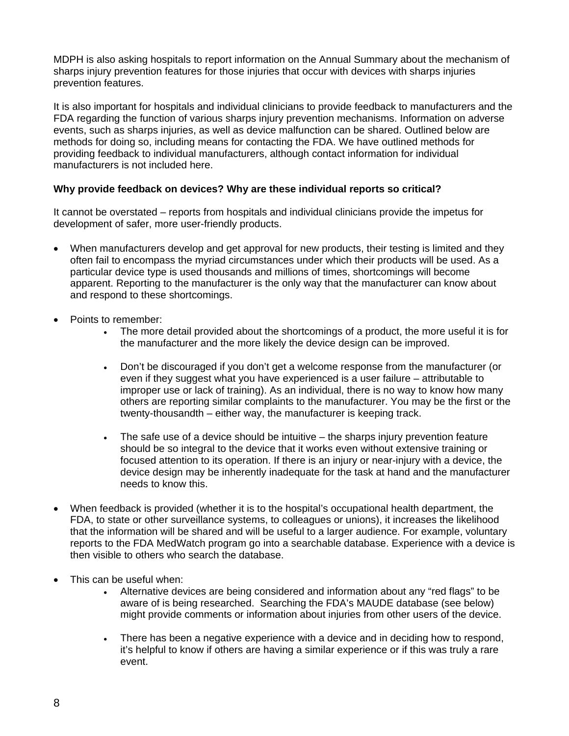MDPH is also asking hospitals to report information on the Annual Summary about the mechanism of sharps injury prevention features for those injuries that occur with devices with sharps injuries prevention features.

It is also important for hospitals and individual clinicians to provide feedback to manufacturers and the FDA regarding the function of various sharps injury prevention mechanisms. Information on adverse events, such as sharps injuries, as well as device malfunction can be shared. Outlined below are methods for doing so, including means for contacting the FDA. We have outlined methods for providing feedback to individual manufacturers, although contact information for individual manufacturers is not included here.

#### **Why provide feedback on devices? Why are these individual reports so critical?**

It cannot be overstated – reports from hospitals and individual clinicians provide the impetus for development of safer, more user-friendly products.

- When manufacturers develop and get approval for new products, their testing is limited and they often fail to encompass the myriad circumstances under which their products will be used. As a particular device type is used thousands and millions of times, shortcomings will become apparent. Reporting to the manufacturer is the only way that the manufacturer can know about and respond to these shortcomings.
- Points to remember:
	- The more detail provided about the shortcomings of a product, the more useful it is for the manufacturer and the more likely the device design can be improved.
	- Don't be discouraged if you don't get a welcome response from the manufacturer (or even if they suggest what you have experienced is a user failure – attributable to improper use or lack of training). As an individual, there is no way to know how many others are reporting similar complaints to the manufacturer. You may be the first or the twenty-thousandth – either way, the manufacturer is keeping track.
	- The safe use of a device should be intuitive the sharps injury prevention feature should be so integral to the device that it works even without extensive training or focused attention to its operation. If there is an injury or near-injury with a device, the device design may be inherently inadequate for the task at hand and the manufacturer needs to know this.
- When feedback is provided (whether it is to the hospital's occupational health department, the FDA, to state or other surveillance systems, to colleagues or unions), it increases the likelihood that the information will be shared and will be useful to a larger audience. For example, voluntary reports to the FDA MedWatch program go into a searchable database. Experience with a device is then visible to others who search the database.
- This can be useful when:
	- Alternative devices are being considered and information about any "red flags" to be aware of is being researched. Searching the FDA's MAUDE database (see below) might provide comments or information about injuries from other users of the device.
	- There has been a negative experience with a device and in deciding how to respond, it's helpful to know if others are having a similar experience or if this was truly a rare event.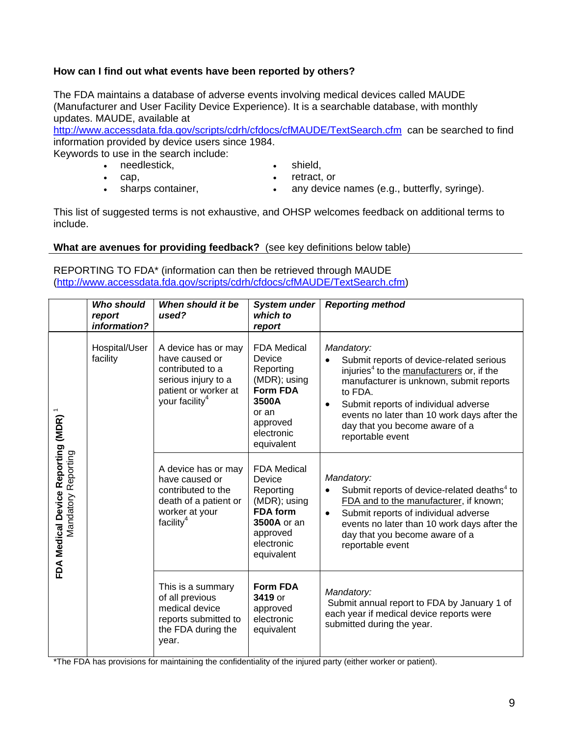#### **How can I find out what events have been reported by others?**

The FDA maintains a database of adverse events involving medical devices called MAUDE (Manufacturer and User Facility Device Experience). It is a searchable database, with monthly updates. MAUDE, available at

http://www.accessdata.fda.gov/scripts/cdrh/cfdocs/cfMAUDE/TextSearch.cfm can be searched to find information provided by device users since 1984.

Keywords to use in the search include:

- needlestick,
- cap,
- shield,
- retract, or
- sharps container, • any device names (e.g., butterfly, syringe).

This list of suggested terms is not exhaustive, and OHSP welcomes feedback on additional terms to include.

**What are avenues for providing feedback?** (see key definitions below table)

REPORTING TO FDA\* (information can then be retrieved through MAUDE (http://www.accessdata.fda.gov/scripts/cdrh/cfdocs/cfMAUDE/TextSearch.cfm)

|                                                                        | <b>Who should</b><br>report<br>information? | When should it be<br>used?                                                                                                             | <b>System under</b><br>which to<br>report                                                                                              | <b>Reporting method</b>                                                                                                                                                                                                                                                                                                         |
|------------------------------------------------------------------------|---------------------------------------------|----------------------------------------------------------------------------------------------------------------------------------------|----------------------------------------------------------------------------------------------------------------------------------------|---------------------------------------------------------------------------------------------------------------------------------------------------------------------------------------------------------------------------------------------------------------------------------------------------------------------------------|
|                                                                        | Hospital/User<br>facility                   | A device has or may<br>have caused or<br>contributed to a<br>serious injury to a<br>patient or worker at<br>your facility <sup>4</sup> | <b>FDA Medical</b><br>Device<br>Reporting<br>(MDR); using<br><b>Form FDA</b><br>3500A<br>or an<br>approved<br>electronic<br>equivalent | Mandatory:<br>Submit reports of device-related serious<br>injuries <sup>4</sup> to the manufacturers or, if the<br>manufacturer is unknown, submit reports<br>to FDA.<br>Submit reports of individual adverse<br>$\bullet$<br>events no later than 10 work days after the<br>day that you become aware of a<br>reportable event |
| FDA Medical Device Reporting (MDR) <sup>1</sup><br>Mandatory Reporting |                                             | A device has or may<br>have caused or<br>contributed to the<br>death of a patient or<br>worker at your<br>facility <sup>4</sup>        | <b>FDA Medical</b><br>Device<br>Reporting<br>(MDR); using<br><b>FDA</b> form<br>3500A or an<br>approved<br>electronic<br>equivalent    | Mandatory:<br>Submit reports of device-related deaths <sup>4</sup> to<br>FDA and to the manufacturer, if known;<br>Submit reports of individual adverse<br>$\bullet$<br>events no later than 10 work days after the<br>day that you become aware of a<br>reportable event                                                       |
|                                                                        |                                             | This is a summary<br>of all previous<br>medical device<br>reports submitted to<br>the FDA during the<br>year.                          | <b>Form FDA</b><br>3419 or<br>approved<br>electronic<br>equivalent                                                                     | Mandatory:<br>Submit annual report to FDA by January 1 of<br>each year if medical device reports were<br>submitted during the year.                                                                                                                                                                                             |

\*The FDA has provisions for maintaining the confidentiality of the injured party (either worker or patient).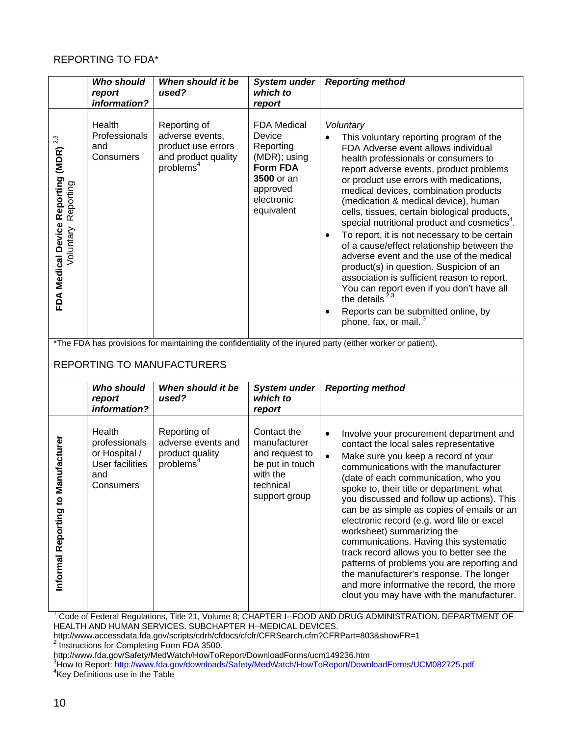### REPORTING TO FDA\*

|                                                                               | <b>Who should</b><br>report<br>information?                                                                                                       | When should it be<br>used?                                                                            | <b>System under</b><br>which to<br>report                                                                                          | <b>Reporting method</b>                                                                                                                                                                                                                                                                                                                                                                                                                                                                                                                                                                                                                                                                                                                                                                                  |
|-------------------------------------------------------------------------------|---------------------------------------------------------------------------------------------------------------------------------------------------|-------------------------------------------------------------------------------------------------------|------------------------------------------------------------------------------------------------------------------------------------|----------------------------------------------------------------------------------------------------------------------------------------------------------------------------------------------------------------------------------------------------------------------------------------------------------------------------------------------------------------------------------------------------------------------------------------------------------------------------------------------------------------------------------------------------------------------------------------------------------------------------------------------------------------------------------------------------------------------------------------------------------------------------------------------------------|
| FDA Medical Device Reporting (MDR) $^{\textrm{23}}$<br>Reporting<br>Voluntary | Health<br>Professionals<br>and<br>Consumers                                                                                                       | Reporting of<br>adverse events,<br>product use errors<br>and product quality<br>problems <sup>4</sup> | <b>FDA Medical</b><br>Device<br>Reporting<br>(MDR); using<br><b>Form FDA</b><br>3500 or an<br>approved<br>electronic<br>equivalent | Voluntary<br>This voluntary reporting program of the<br>FDA Adverse event allows individual<br>health professionals or consumers to<br>report adverse events, product problems<br>or product use errors with medications,<br>medical devices, combination products<br>(medication & medical device), human<br>cells, tissues, certain biological products,<br>special nutritional product and cosmetics <sup>4</sup> .<br>To report, it is not necessary to be certain<br>of a cause/effect relationship between the<br>adverse event and the use of the medical<br>product(s) in question. Suspicion of an<br>association is sufficient reason to report.<br>You can report even if you don't have all<br>the details $2,3$<br>Reports can be submitted online, by<br>phone, fax, or mail. <sup>3</sup> |
|                                                                               | *The FDA has provisions for maintaining the confidentiality of the injured party (either worker or patient).<br><b>REPORTING TO MANUFACTURERS</b> |                                                                                                       |                                                                                                                                    |                                                                                                                                                                                                                                                                                                                                                                                                                                                                                                                                                                                                                                                                                                                                                                                                          |
|                                                                               | <b>Who should</b><br>report<br>information?                                                                                                       | When should it be<br>used?                                                                            | <b>System under</b><br>which to<br>report                                                                                          | <b>Reporting method</b>                                                                                                                                                                                                                                                                                                                                                                                                                                                                                                                                                                                                                                                                                                                                                                                  |
| <b>Manufacturer</b><br>Informal Reporting to                                  | Health<br>professionals<br>or Hospital /<br><b>User facilities</b><br>and<br>Consumers                                                            | Reporting of<br>adverse events and<br>product quality<br>problems <sup>4</sup>                        | Contact the<br>manufacturer<br>and request to<br>be put in touch<br>with the<br>technical<br>support group                         | $\bullet$<br>Involve your procurement department and<br>contact the local sales representative<br>$\bullet$<br>Make sure you keep a record of your<br>communications with the manufacturer<br>(date of each communication, who you<br>spoke to, their title or department, what<br>you discussed and follow up actions). This<br>can be as simple as copies of emails or an<br>electronic record (e.g. word file or excel<br>worksheet) summarizing the<br>communications. Having this systematic<br>track record allows you to better see the<br>patterns of problems you are reporting and<br>the manufacturer's response. The longer<br>and more informative the record, the more<br>clout you may have with the manufacturer.                                                                        |

<sup>1</sup> Code of Federal Regulations, Title 21, Volume 8; CHAPTER I--FOOD AND DRUG ADMINISTRATION. DEPARTMENT OF HEALTH AND HUMAN SERVICES. SUBCHAPTER H--MEDICAL DEVICES.

http://www.accessdata.fda.gov/scripts/cdrh/cfdocs/cfcfr/CFRSearch.cfm?CFRPart=803&showFR=1<br><sup>2</sup> Instructions for Completing Form FDA 3500.

<sup>3</sup>How to Report: <u>http://www.fda.gov/downloads/Safety/MedWatch/HowToReport/DownloadForms/UCM082725.pdf<br><sup>4</sup>Key Definitions use in the Table</u>

http://www.fda.gov/Safety/MedWatch/HowToReport/DownloadForms/ucm149236.htm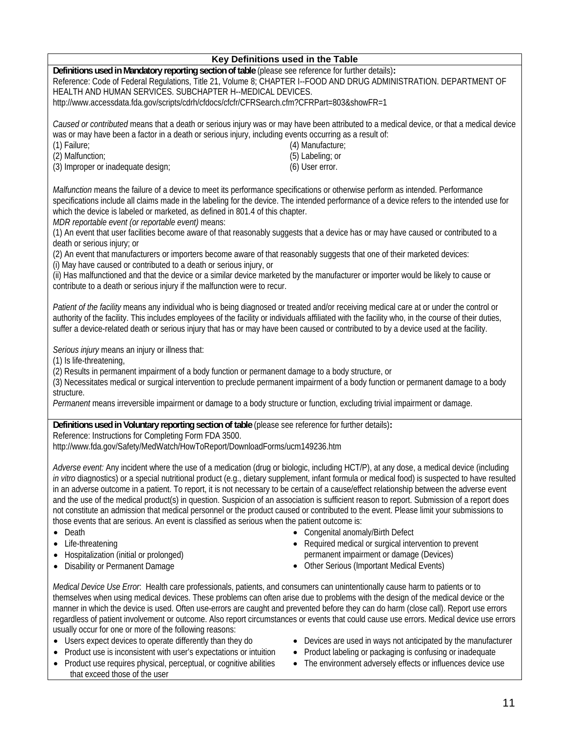|                                                                                                                                                                                                                                                                                                                                                                                                                                                                                                                                                                                                                                                                                                                                                                                                                                                                                                                                                | Key Definitions used in the Table                                                                                                                                                                   |  |  |  |
|------------------------------------------------------------------------------------------------------------------------------------------------------------------------------------------------------------------------------------------------------------------------------------------------------------------------------------------------------------------------------------------------------------------------------------------------------------------------------------------------------------------------------------------------------------------------------------------------------------------------------------------------------------------------------------------------------------------------------------------------------------------------------------------------------------------------------------------------------------------------------------------------------------------------------------------------|-----------------------------------------------------------------------------------------------------------------------------------------------------------------------------------------------------|--|--|--|
| Definitions used in Mandatory reporting section of table (please see reference for further details):<br>Reference: Code of Federal Regulations, Title 21, Volume 8; CHAPTER I--FOOD AND DRUG ADMINISTRATION. DEPARTMENT OF<br>HEALTH AND HUMAN SERVICES. SUBCHAPTER H--MEDICAL DEVICES.<br>http://www.accessdata.fda.gov/scripts/cdrh/cfdocs/cfcfr/CFRSearch.cfm?CFRPart=803&showFR=1                                                                                                                                                                                                                                                                                                                                                                                                                                                                                                                                                          |                                                                                                                                                                                                     |  |  |  |
| Caused or contributed means that a death or serious injury was or may have been attributed to a medical device, or that a medical device<br>was or may have been a factor in a death or serious injury, including events occurring as a result of:<br>(1) Failure;<br>(2) Malfunction;<br>(3) Improper or inadequate design;                                                                                                                                                                                                                                                                                                                                                                                                                                                                                                                                                                                                                   | (4) Manufacture;<br>(5) Labeling; or<br>(6) User error.                                                                                                                                             |  |  |  |
| Malfunction means the failure of a device to meet its performance specifications or otherwise perform as intended. Performance<br>specifications include all claims made in the labeling for the device. The intended performance of a device refers to the intended use for<br>which the device is labeled or marketed, as defined in 801.4 of this chapter.<br>MDR reportable event (or reportable event) means:                                                                                                                                                                                                                                                                                                                                                                                                                                                                                                                             |                                                                                                                                                                                                     |  |  |  |
| (1) An event that user facilities become aware of that reasonably suggests that a device has or may have caused or contributed to a<br>death or serious injury; or<br>(2) An event that manufacturers or importers become aware of that reasonably suggests that one of their marketed devices:                                                                                                                                                                                                                                                                                                                                                                                                                                                                                                                                                                                                                                                |                                                                                                                                                                                                     |  |  |  |
| (i) May have caused or contributed to a death or serious injury, or<br>(ii) Has malfunctioned and that the device or a similar device marketed by the manufacturer or importer would be likely to cause or<br>contribute to a death or serious injury if the malfunction were to recur.                                                                                                                                                                                                                                                                                                                                                                                                                                                                                                                                                                                                                                                        |                                                                                                                                                                                                     |  |  |  |
| Patient of the facility means any individual who is being diagnosed or treated and/or receiving medical care at or under the control or<br>authority of the facility. This includes employees of the facility or individuals affiliated with the facility who, in the course of their duties,<br>suffer a device-related death or serious injury that has or may have been caused or contributed to by a device used at the facility.                                                                                                                                                                                                                                                                                                                                                                                                                                                                                                          |                                                                                                                                                                                                     |  |  |  |
| Serious injury means an injury or illness that:<br>(1) Is life-threatening,<br>(2) Results in permanent impairment of a body function or permanent damage to a body structure, or<br>(3) Necessitates medical or surgical intervention to preclude permanent impairment of a body function or permanent damage to a body<br>structure.                                                                                                                                                                                                                                                                                                                                                                                                                                                                                                                                                                                                         |                                                                                                                                                                                                     |  |  |  |
| Permanent means irreversible impairment or damage to a body structure or function, excluding trivial impairment or damage.                                                                                                                                                                                                                                                                                                                                                                                                                                                                                                                                                                                                                                                                                                                                                                                                                     |                                                                                                                                                                                                     |  |  |  |
| Definitions used in Voluntary reporting section of table (please see reference for further details):<br>Reference: Instructions for Completing Form FDA 3500.                                                                                                                                                                                                                                                                                                                                                                                                                                                                                                                                                                                                                                                                                                                                                                                  |                                                                                                                                                                                                     |  |  |  |
| http://www.fda.gov/Safety/MedWatch/HowToReport/DownloadForms/ucm149236.htm                                                                                                                                                                                                                                                                                                                                                                                                                                                                                                                                                                                                                                                                                                                                                                                                                                                                     |                                                                                                                                                                                                     |  |  |  |
| Adverse event: Any incident where the use of a medication (drug or biologic, including HCT/P), at any dose, a medical device (including<br>in vitro diagnostics) or a special nutritional product (e.g., dietary supplement, infant formula or medical food) is suspected to have resulted<br>in an adverse outcome in a patient. To report, it is not necessary to be certain of a cause/effect relationship between the adverse event<br>and the use of the medical product(s) in question. Suspicion of an association is sufficient reason to report. Submission of a report does<br>not constitute an admission that medical personnel or the product caused or contributed to the event. Please limit your submissions to<br>those events that are serious. An event is classified as serious when the patient outcome is:<br>Death<br>٠<br>Life-threatening<br>Hospitalization (initial or prolonged)<br>Disability or Permanent Damage | • Congenital anomaly/Birth Defect<br>• Required medical or surgical intervention to prevent<br>permanent impairment or damage (Devices)<br>• Other Serious (Important Medical Events)               |  |  |  |
| Medical Device Use Error. Health care professionals, patients, and consumers can unintentionally cause harm to patients or to<br>themselves when using medical devices. These problems can often arise due to problems with the design of the medical device or the<br>manner in which the device is used. Often use-errors are caught and prevented before they can do harm (close call). Report use errors<br>regardless of patient involvement or outcome. Also report circumstances or events that could cause use errors. Medical device use errors<br>usually occur for one or more of the following reasons:<br>• Users expect devices to operate differently than they do<br>Product use is inconsistent with user's expectations or intuition<br>Product use requires physical, perceptual, or cognitive abilities<br>$\bullet$                                                                                                       | Devices are used in ways not anticipated by the manufacturer<br>Product labeling or packaging is confusing or inadequate<br>The environment adversely effects or influences device use<br>$\bullet$ |  |  |  |

that exceed those of the user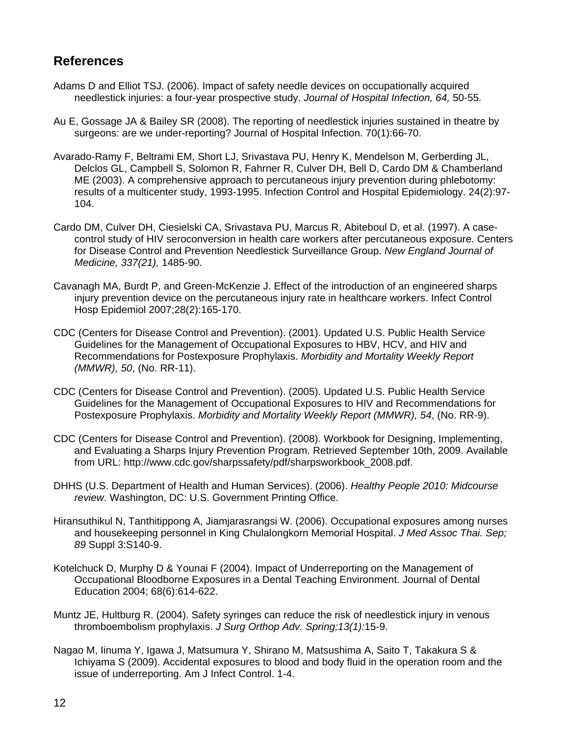# **References**

- Adams D and Elliot TSJ. (2006). Impact of safety needle devices on occupationally acquired needlestick injuries: a four-year prospective study. *Journal of Hospital Infection, 64,* 50-55*.*
- Au E, Gossage JA & Bailey SR (2008). The reporting of needlestick injuries sustained in theatre by surgeons: are we under-reporting? Journal of Hospital Infection. 70(1):66-70.
- Avarado-Ramy F, Beltrami EM, Short LJ, Srivastava PU, Henry K, Mendelson M, Gerberding JL, Delclos GL, Campbell S, Solomon R, Fahrner R, Culver DH, Bell D, Cardo DM & Chamberland ME (2003). A comprehensive approach to percutaneous injury prevention during phlebotomy: results of a multicenter study, 1993-1995. Infection Control and Hospital Epidemiology. 24(2):97- 104.
- Cardo DM, Culver DH, Ciesielski CA, Srivastava PU, Marcus R, Abiteboul D, et al. (1997). A casecontrol study of HIV seroconversion in health care workers after percutaneous exposure. Centers for Disease Control and Prevention Needlestick Surveillance Group. *New England Journal of Medicine, 337(21),* 1485-90.
- Cavanagh MA, Burdt P, and Green-McKenzie J. Effect of the introduction of an engineered sharps injury prevention device on the percutaneous injury rate in healthcare workers. Infect Control Hosp Epidemiol 2007;28(2):165-170.
- CDC (Centers for Disease Control and Prevention). (2001). Updated U.S. Public Health Service Guidelines for the Management of Occupational Exposures to HBV, HCV, and HIV and Recommendations for Postexposure Prophylaxis. *Morbidity and Mortality Weekly Report (MMWR), 50*, (No. RR-11).
- CDC (Centers for Disease Control and Prevention). (2005). Updated U.S. Public Health Service Guidelines for the Management of Occupational Exposures to HIV and Recommendations for Postexposure Prophylaxis. *Morbidity and Mortality Weekly Report (MMWR), 54*, (No. RR-9).
- CDC (Centers for Disease Control and Prevention). (2008). Workbook for Designing, Implementing, and Evaluating a Sharps Injury Prevention Program. Retrieved September 10th, 2009. Available from URL: http://www.cdc.gov/sharpssafety/pdf/sharpsworkbook\_2008.pdf.
- DHHS (U.S. Department of Health and Human Services). (2006). *Healthy People 2010: Midcourse review*. Washington, DC: U.S. Government Printing Office.
- Hiransuthikul N, Tanthitippong A, Jiamjarasrangsi W. (2006). Occupational exposures among nurses and housekeeping personnel in King Chulalongkorn Memorial Hospital. *J Med Assoc Thai. Sep; 89* Suppl 3:S140-9.
- Kotelchuck D, Murphy D & Younai F (2004). Impact of Underreporting on the Management of Occupational Bloodborne Exposures in a Dental Teaching Environment. Journal of Dental Education 2004; 68(6):614-622.
- Muntz JE, Hultburg R. (2004). Safety syringes can reduce the risk of needlestick injury in venous thromboembolism prophylaxis. *J Surg Orthop Adv. Spring;13(1):*15-9.
- Nagao M, Iinuma Y, Igawa J, Matsumura Y, Shirano M, Matsushima A, Saito T, Takakura S & Ichiyama S (2009). Accidental exposures to blood and body fluid in the operation room and the issue of underreporting. Am J Infect Control. 1-4.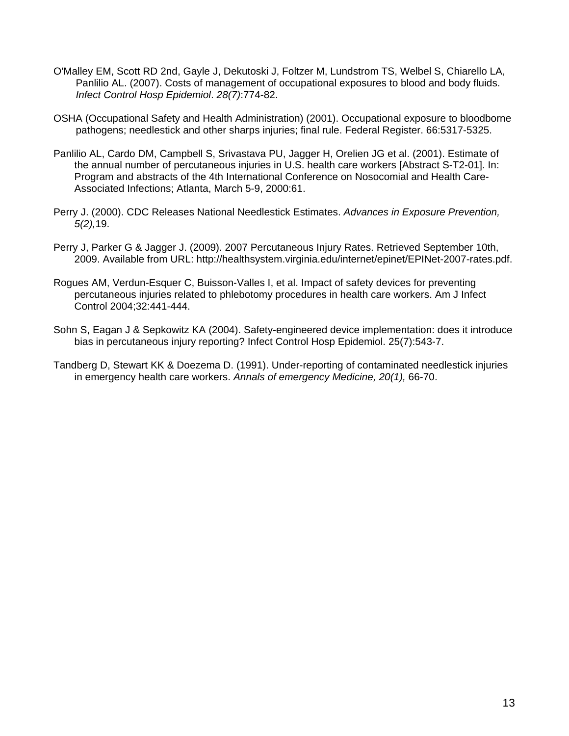- O'Malley EM, Scott RD 2nd, Gayle J, Dekutoski J, Foltzer M, Lundstrom TS, Welbel S, Chiarello LA, Panlilio AL. (2007). Costs of management of occupational exposures to blood and body fluids. *Infect Control Hosp Epidemiol*. *28(7)*:774-82.
- OSHA (Occupational Safety and Health Administration) (2001). Occupational exposure to bloodborne pathogens; needlestick and other sharps injuries; final rule. Federal Register. 66:5317-5325.
- Panlilio AL, Cardo DM, Campbell S, Srivastava PU, Jagger H, Orelien JG et al. (2001). Estimate of the annual number of percutaneous injuries in U.S. health care workers [Abstract S-T2-01]. In: Program and abstracts of the 4th International Conference on Nosocomial and Health Care-Associated Infections; Atlanta, March 5-9, 2000:61.
- Perry J. (2000). CDC Releases National Needlestick Estimates. *Advances in Exposure Prevention, 5(2),*19.
- Perry J, Parker G & Jagger J. (2009). 2007 Percutaneous Injury Rates. Retrieved September 10th, 2009. Available from URL: http://healthsystem.virginia.edu/internet/epinet/EPINet-2007-rates.pdf.
- Rogues AM, Verdun-Esquer C, Buisson-Valles I, et al. Impact of safety devices for preventing percutaneous injuries related to phlebotomy procedures in health care workers. Am J Infect Control 2004;32:441-444.
- Sohn S, Eagan J & Sepkowitz KA (2004). Safety-engineered device implementation: does it introduce bias in percutaneous injury reporting? Infect Control Hosp Epidemiol. 25(7):543-7.
- Tandberg D, Stewart KK & Doezema D. (1991). Under-reporting of contaminated needlestick injuries in emergency health care workers. *Annals of emergency Medicine, 20(1),* 66-70.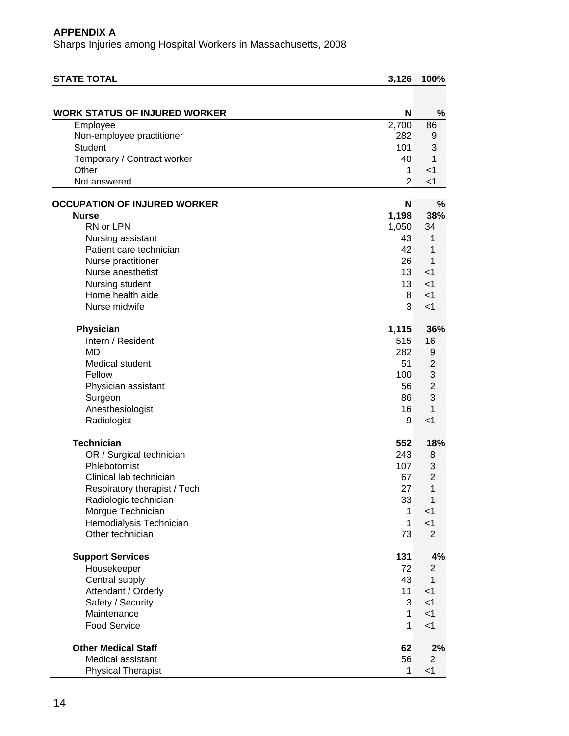| <b>STATE TOTAL</b>                   | 3,126          | 100%           |
|--------------------------------------|----------------|----------------|
|                                      |                |                |
| <b>WORK STATUS OF INJURED WORKER</b> | N              | $\%$           |
| Employee                             | 2,700          | 86             |
| Non-employee practitioner            | 282            | 9              |
| <b>Student</b>                       | 101            | 3              |
| Temporary / Contract worker          | 40             | 1              |
| Other                                | 1              | $<$ 1          |
| Not answered                         | $\overline{2}$ | < 1            |
| <b>OCCUPATION OF INJURED WORKER</b>  | N              | %              |
| <b>Nurse</b>                         | 1,198          | 38%            |
| RN or LPN                            | 1,050          | 34             |
| Nursing assistant                    | 43             | 1              |
| Patient care technician              | 42             | 1              |
| Nurse practitioner                   | 26             | 1              |
| Nurse anesthetist                    | 13             | $<$ 1          |
| Nursing student                      | 13             | $<$ 1          |
| Home health aide                     | 8              | $<$ 1          |
| Nurse midwife                        | 3              | $<$ 1          |
| Physician                            | 1,115          | 36%            |
| Intern / Resident                    | 515            | 16             |
| <b>MD</b>                            | 282            | 9              |
| Medical student                      | 51             | $\overline{2}$ |
| Fellow                               | 100            | 3              |
| Physician assistant                  | 56             | $\overline{2}$ |
| Surgeon                              | 86             | 3              |
| Anesthesiologist                     | 16             | 1              |
| Radiologist                          | 9              | $<$ 1          |
| <b>Technician</b>                    | 552            | 18%            |
| OR / Surgical technician             | 243            | 8              |
| Phlebotomist                         | 107            | 3              |
| Clinical lab technician              | 67             | $\overline{2}$ |
| Respiratory therapist / Tech         | 27             | $\mathbf{1}$   |
| Radiologic technician                | 33             | 1              |
| Morgue Technician                    | $\mathbf{1}$   | $<$ 1          |
| Hemodialysis Technician              | $\mathbf{1}$   | $<$ 1          |
| Other technician                     | 73             | $\overline{2}$ |
| <b>Support Services</b>              | 131            | 4%             |
| Housekeeper                          | 72             | $\overline{c}$ |
| Central supply                       | 43             | $\mathbf{1}$   |
| Attendant / Orderly                  | 11             | $<$ 1          |
| Safety / Security                    | 3              | $<$ 1          |
| Maintenance                          | $\mathbf{1}$   | $<$ 1          |
| <b>Food Service</b>                  | 1              | $<$ 1          |
| <b>Other Medical Staff</b>           | 62             | 2%             |
| Medical assistant                    | 56             | $\overline{c}$ |
| <b>Physical Therapist</b>            | 1              | < 1            |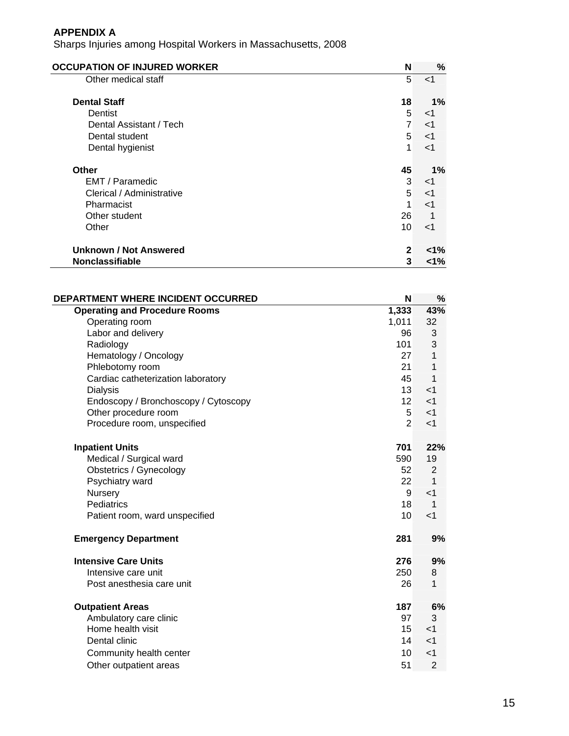| <b>OCCUPATION OF INJURED WORKER</b> | N              | %       |
|-------------------------------------|----------------|---------|
| Other medical staff                 | 5              | $<$ 1   |
| <b>Dental Staff</b>                 | 18             | 1%      |
| Dentist                             | 5              | $<$ 1   |
| Dental Assistant / Tech             | $\overline{7}$ | $<$ 1   |
| Dental student                      | 5              | $<$ 1   |
| Dental hygienist                    | 1              | $<$ 1   |
| Other                               | 45             | $1\%$   |
| EMT / Paramedic                     | 3              | $<$ 1   |
| Clerical / Administrative           | 5              | $<$ 1   |
| Pharmacist                          | 1              | $<$ 1   |
| Other student                       | 26             |         |
| Other                               | 10             | $<$ 1   |
| Unknown / Not Answered              | $\mathbf{2}$   | $< 1\%$ |
| <b>Nonclassifiable</b>              | 3              | <1%     |

| DEPARTMENT WHERE INCIDENT OCCURRED   | N               | %              |
|--------------------------------------|-----------------|----------------|
| <b>Operating and Procedure Rooms</b> | 1,333           | 43%            |
| Operating room                       | 1,011           | 32             |
| Labor and delivery                   | 96              | 3              |
| Radiology                            | 101             | 3              |
| Hematology / Oncology                | 27              | 1              |
| Phlebotomy room                      | 21              | 1              |
| Cardiac catheterization laboratory   | 45              | 1              |
| <b>Dialysis</b>                      | 13 <sup>1</sup> | $<$ 1          |
| Endoscopy / Bronchoscopy / Cytoscopy | 12 <sup>2</sup> | $<$ 1          |
| Other procedure room                 | 5 <sup>5</sup>  | $<$ 1          |
| Procedure room, unspecified          | $\overline{2}$  | $<$ 1          |
| <b>Inpatient Units</b>               | 701             | 22%            |
| Medical / Surgical ward              | 590             | 19             |
| Obstetrics / Gynecology              | 52              | 2              |
| Psychiatry ward                      | 22              | 1              |
| Nursery                              | $\overline{9}$  | $<$ 1          |
| Pediatrics                           | 18              | $\mathbf 1$    |
| Patient room, ward unspecified       | 10              | $<$ 1          |
| <b>Emergency Department</b>          | 281             | 9%             |
| <b>Intensive Care Units</b>          | 276             | 9%             |
| Intensive care unit                  | 250             | 8              |
| Post anesthesia care unit            | 26              | 1              |
| <b>Outpatient Areas</b>              | 187             | 6%             |
| Ambulatory care clinic               | 97              | 3              |
| Home health visit                    | 15              | $<$ 1          |
| Dental clinic                        | 14              | $<$ 1          |
| Community health center              | 10              | $<$ 1          |
| Other outpatient areas               | 51              | $\overline{2}$ |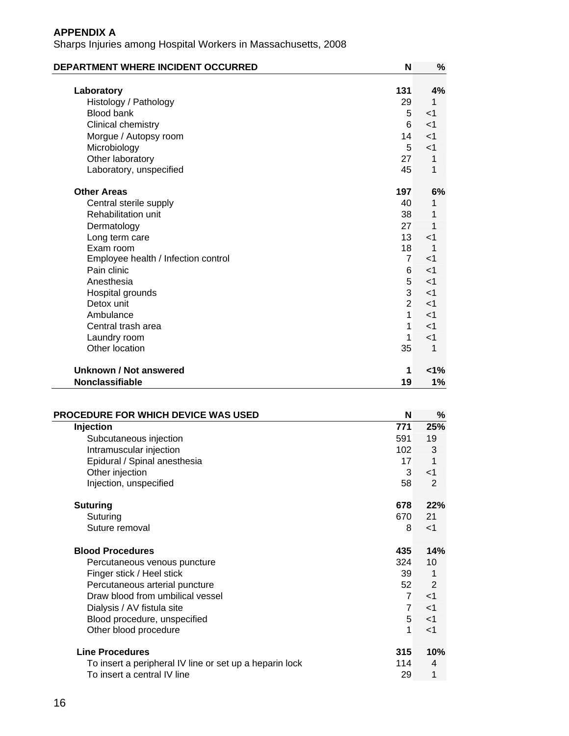| DEPARTMENT WHERE INCIDENT OCCURRED  | N              | %              |
|-------------------------------------|----------------|----------------|
|                                     |                |                |
| Laboratory                          | 131            | 4%             |
| Histology / Pathology               | 29             | 1              |
| <b>Blood bank</b>                   | 5              | $<$ 1          |
| Clinical chemistry                  | 6              | $\leq$ 1       |
| Morgue / Autopsy room               | 14             | $<$ 1          |
| Microbiology                        | 5              | $<$ 1          |
| Other laboratory                    | 27             | 1              |
| Laboratory, unspecified             | 45             | 1              |
| <b>Other Areas</b>                  | 197            | 6%             |
| Central sterile supply              | 40             | 1              |
| Rehabilitation unit                 | 38             |                |
| Dermatology                         | 27             | 1              |
| Long term care                      | 13             | $<$ 1          |
| Exam room                           | 18             | $\overline{1}$ |
| Employee health / Infection control | $\overline{7}$ | $\leq$ 1       |
| Pain clinic                         | 6              | $<$ 1          |
| Anesthesia                          | 5              | $<$ 1          |
| Hospital grounds                    | 3              | $<$ 1          |
| Detox unit                          | $\overline{2}$ | $<$ 1          |
| Ambulance                           | $\mathbf 1$    | $<$ 1          |
| Central trash area                  | 1              | $<$ 1          |
| Laundry room                        | 1              | $<$ 1          |
| Other location                      | 35             | 1              |
| Unknown / Not answered              | 1              | 1%             |
| <b>Nonclassifiable</b>              | 19             | 1%             |

| PROCEDURE FOR WHICH DEVICE WAS USED                     | N                | %              |
|---------------------------------------------------------|------------------|----------------|
| Injection                                               | 771              | 25%            |
| Subcutaneous injection                                  | 591              | 19             |
| Intramuscular injection                                 | 102 <sub>1</sub> | 3              |
| Epidural / Spinal anesthesia                            | 17 <sup>2</sup>  | 1              |
| Other injection                                         | 3                | -1             |
| Injection, unspecified                                  | 58               | $\overline{2}$ |
| <b>Suturing</b>                                         | 678              | 22%            |
| Suturing                                                | 670              | 21             |
| Suture removal                                          | 8                | $<$ 1          |
| <b>Blood Procedures</b>                                 | 435              | 14%            |
| Percutaneous venous puncture                            | 324              | 10             |
| Finger stick / Heel stick                               | 39               | 1              |
| Percutaneous arterial puncture                          | 52               | 2              |
| Draw blood from umbilical vessel                        | $\overline{7}$   | $<$ 1          |
| Dialysis / AV fistula site                              | $\overline{7}$   | $<$ 1          |
| Blood procedure, unspecified                            | 5                | $<$ 1          |
| Other blood procedure                                   | 1                | $<$ 1          |
| <b>Line Procedures</b>                                  | 315              | 10%            |
| To insert a peripheral IV line or set up a heparin lock | 114              | 4              |
| To insert a central IV line                             | 29               | 1              |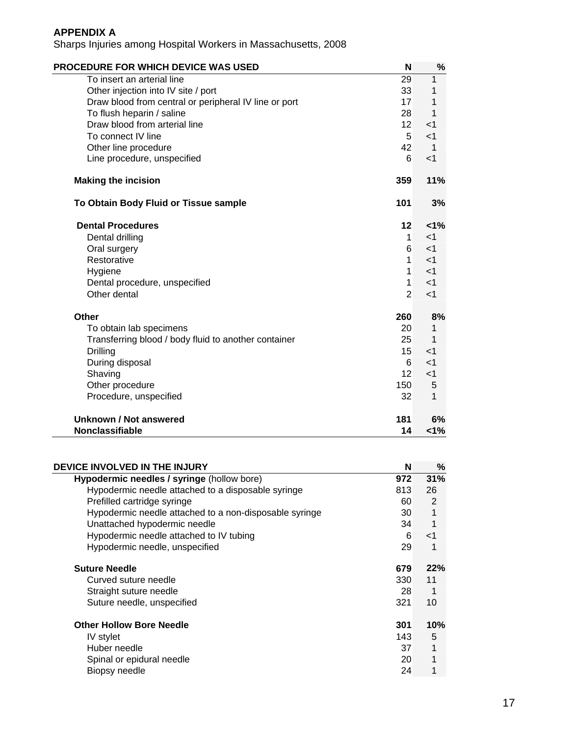| <b>PROCEDURE FOR WHICH DEVICE WAS USED</b>            | N               | %              |
|-------------------------------------------------------|-----------------|----------------|
| To insert an arterial line                            | 29              | 1              |
| Other injection into IV site / port                   | 33              | 1              |
| Draw blood from central or peripheral IV line or port | 17              | 1              |
| To flush heparin / saline                             | 28              | 1              |
| Draw blood from arterial line                         | 12              | $\leq$ 1       |
| To connect IV line                                    | $5\overline{5}$ | $<$ 1          |
| Other line procedure                                  | 42              | $\overline{1}$ |
| Line procedure, unspecified                           | 6               | $\leq$ 1       |
| <b>Making the incision</b>                            | 359             | 11%            |
| To Obtain Body Fluid or Tissue sample                 | 101             | 3%             |
| <b>Dental Procedures</b>                              | 12              | 1%             |
| Dental drilling                                       | $\mathbf{1}$    | $\leq$ 1       |
| Oral surgery                                          | 6               | $<$ 1          |
| Restorative                                           | $\mathbf{1}$    | $<$ 1          |
| Hygiene                                               | 1               | $<$ 1          |
| Dental procedure, unspecified                         | 1               | $<$ 1          |
| Other dental                                          | $\overline{2}$  | $<$ 1          |
| Other                                                 | 260             | 8%             |
| To obtain lab specimens                               | 20              | 1              |
| Transferring blood / body fluid to another container  | 25              | 1              |
| <b>Drilling</b>                                       | 15              | $\leq$ 1       |
| During disposal                                       | 6               | $<$ 1          |
| Shaving                                               | 12              | $<$ 1          |
| Other procedure                                       | 150             | 5              |
| Procedure, unspecified                                | 32              | 1              |
| Unknown / Not answered                                | 181             | 6%             |
| <b>Nonclassifiable</b>                                | 14              | 1%             |

| DEVICE INVOLVED IN THE INJURY                          | N   | ℅     |
|--------------------------------------------------------|-----|-------|
| Hypodermic needles / syringe (hollow bore)             | 972 | 31%   |
| Hypodermic needle attached to a disposable syringe     | 813 | 26    |
| Prefilled cartridge syringe                            | 60  | 2     |
| Hypodermic needle attached to a non-disposable syringe | 30  | 1     |
| Unattached hypodermic needle                           | 34  |       |
| Hypodermic needle attached to IV tubing                | 6   | $<$ 1 |
| Hypodermic needle, unspecified                         | 29  | 1     |
| <b>Suture Needle</b>                                   | 679 | 22%   |
| Curved suture needle                                   | 330 | 11    |
| Straight suture needle                                 | 28  | 1     |
| Suture needle, unspecified                             | 321 | 10    |
| <b>Other Hollow Bore Needle</b>                        | 301 | 10%   |
| IV stylet                                              | 143 | 5     |
| Huber needle                                           | 37  | 1     |
| Spinal or epidural needle                              | 20  | 1     |
| Biopsy needle                                          | 24  |       |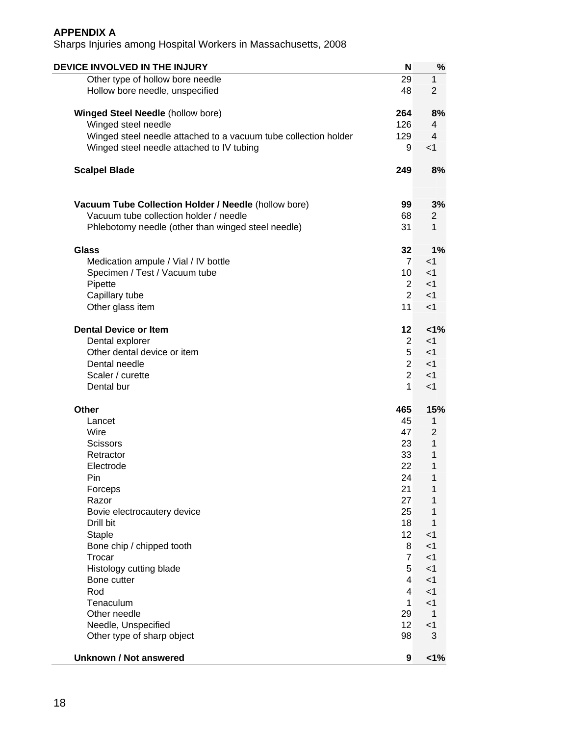| DEVICE INVOLVED IN THE INJURY                                   | N               | ℅              |
|-----------------------------------------------------------------|-----------------|----------------|
| Other type of hollow bore needle                                | 29              | 1              |
| Hollow bore needle, unspecified                                 | 48              | $\overline{2}$ |
| <b>Winged Steel Needle (hollow bore)</b>                        | 264             | 8%             |
| Winged steel needle                                             | 126             | 4              |
| Winged steel needle attached to a vacuum tube collection holder | 129             | $\overline{4}$ |
| Winged steel needle attached to IV tubing                       | 9               | $<$ 1          |
| <b>Scalpel Blade</b>                                            | 249             | 8%             |
| Vacuum Tube Collection Holder / Needle (hollow bore)            | 99              | 3%             |
| Vacuum tube collection holder / needle                          | 68              | 2              |
| Phlebotomy needle (other than winged steel needle)              | 31              | 1              |
|                                                                 |                 |                |
| <b>Glass</b>                                                    | 32              | 1%             |
| Medication ampule / Vial / IV bottle                            | $\overline{7}$  | $<$ 1          |
| Specimen / Test / Vacuum tube                                   | 10 <sup>°</sup> | $<$ 1          |
| Pipette                                                         | $\overline{2}$  | $<$ 1          |
| Capillary tube                                                  | $\overline{2}$  | $<$ 1          |
| Other glass item                                                | 11              | $<$ 1          |
| <b>Dental Device or Item</b>                                    | 12              | 1%             |
| Dental explorer                                                 | $\overline{2}$  | $<$ 1          |
| Other dental device or item                                     | 5               | $<$ 1          |
| Dental needle                                                   | $\overline{2}$  | $<$ 1          |
| Scaler / curette                                                | $\overline{2}$  | $<$ 1          |
| Dental bur                                                      | 1               | $<$ 1          |
| <b>Other</b>                                                    | 465             | 15%            |
| Lancet                                                          | 45              | 1              |
| Wire                                                            | 47              | $\overline{2}$ |
| <b>Scissors</b>                                                 | 23              | 1              |
| Retractor                                                       | 33              | 1              |
| Electrode                                                       | 22              | 1              |
| Pin                                                             | 24              | 1              |
| Forceps                                                         | 21              | 1              |
| Razor                                                           | 27              | 1              |
| Bovie electrocautery device                                     | 25              | 1              |
| Drill bit                                                       | 18              | 1              |
| <b>Staple</b>                                                   | 12 <sup>2</sup> | $<$ 1          |
| Bone chip / chipped tooth                                       | 8               | $<$ 1          |
| Trocar                                                          | $\overline{7}$  | $<$ 1          |
| Histology cutting blade                                         | 5               | $<$ 1          |
| Bone cutter                                                     | 4               | $<$ 1          |
| Rod                                                             | 4               | $<$ 1          |
| Tenaculum                                                       | 1               | $<$ 1          |
| Other needle                                                    | 29              | $\mathbf 1$    |
| Needle, Unspecified                                             | 12              | $<$ 1          |
| Other type of sharp object                                      | 98              | 3              |
| <b>Unknown / Not answered</b>                                   | 9               | $1\%$          |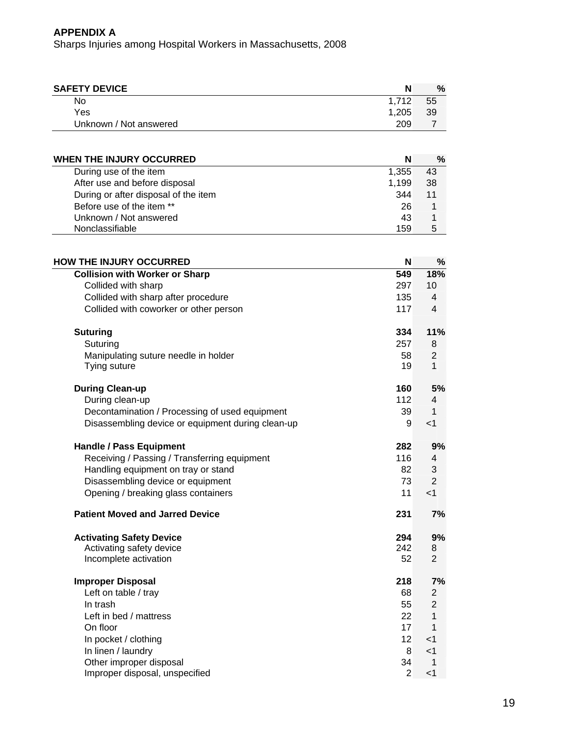| <b>SAFETY DEVICE</b>   | N     | %  |
|------------------------|-------|----|
| No                     | 1.712 | 55 |
| Yes                    | 1.205 | 39 |
| Unknown / Not answered | 209   |    |

| WHEN THE INJURY OCCURRED                    | $\%$ |
|---------------------------------------------|------|
| During use of the item<br>1,355             | 43   |
| After use and before disposal<br>1,199      | 38   |
| During or after disposal of the item<br>344 | 11   |
| Before use of the item **<br>26             |      |
| Unknown / Not answered<br>43                |      |
| Nonclassifiable<br>159                      | 5    |

| <b>HOW THE INJURY OCCURRED</b>                    | N              | $\%$           |
|---------------------------------------------------|----------------|----------------|
| <b>Collision with Worker or Sharp</b>             | 549            | 18%            |
| Collided with sharp                               | 297            | 10             |
| Collided with sharp after procedure               | 135            | $\overline{4}$ |
| Collided with coworker or other person            | 117            | 4              |
| <b>Suturing</b>                                   | 334            | 11%            |
| Suturing                                          | 257            | 8              |
| Manipulating suture needle in holder              | 58             | $\overline{2}$ |
| Tying suture                                      | 19             | 1              |
| <b>During Clean-up</b>                            | 160            | 5%             |
| During clean-up                                   | 112            | 4              |
| Decontamination / Processing of used equipment    | 39             | 1              |
| Disassembling device or equipment during clean-up | 9              | $<$ 1          |
| <b>Handle / Pass Equipment</b>                    | 282            | 9%             |
| Receiving / Passing / Transferring equipment      | 116            | 4              |
| Handling equipment on tray or stand               | 82             | 3              |
| Disassembling device or equipment                 | 73             | $\overline{2}$ |
| Opening / breaking glass containers               | 11             | < 1            |
| <b>Patient Moved and Jarred Device</b>            | 231            | 7%             |
| <b>Activating Safety Device</b>                   | 294            | 9%             |
| Activating safety device                          | 242            | 8              |
| Incomplete activation                             | 52             | $\overline{2}$ |
| <b>Improper Disposal</b>                          | 218            | 7%             |
| Left on table / tray                              | 68             | $\overline{2}$ |
| In trash                                          | 55             | $\overline{2}$ |
| Left in bed / mattress                            | 22             | 1              |
| On floor                                          | 17             | 1              |
| In pocket / clothing                              | 12             | $<$ 1          |
| In linen / laundry                                | 8              | $<$ 1          |
| Other improper disposal                           | 34             | 1              |
| Improper disposal, unspecified                    | $\overline{2}$ | < 1            |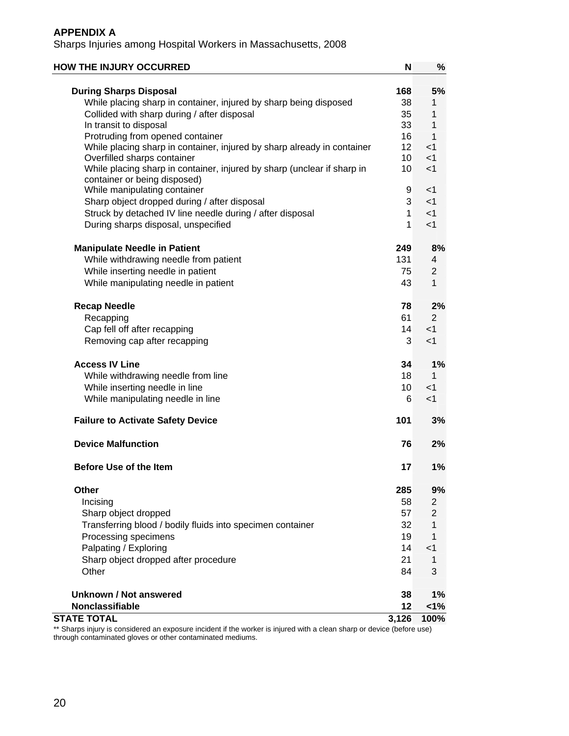Sharps Injuries among Hospital Workers in Massachusetts, 2008

| <b>HOW THE INJURY OCCURRED</b>                                                                          | N               | $\%$           |
|---------------------------------------------------------------------------------------------------------|-----------------|----------------|
| <b>During Sharps Disposal</b>                                                                           | 168             | 5%             |
| While placing sharp in container, injured by sharp being disposed                                       | 38              | 1              |
| Collided with sharp during / after disposal                                                             | 35              | 1              |
| In transit to disposal                                                                                  | 33              | 1              |
| Protruding from opened container                                                                        | 16              | 1              |
| While placing sharp in container, injured by sharp already in container                                 | 12              | $<$ 1          |
| Overfilled sharps container                                                                             | 10              | $<$ 1          |
| While placing sharp in container, injured by sharp (unclear if sharp in<br>container or being disposed) | 10 <sup>°</sup> | $<$ 1          |
| While manipulating container                                                                            | 9               | $<$ 1          |
| Sharp object dropped during / after disposal                                                            | 3               | $<$ 1          |
| Struck by detached IV line needle during / after disposal                                               | $\mathbf{1}$    | < 1            |
| During sharps disposal, unspecified                                                                     | 1               | $<$ 1          |
| <b>Manipulate Needle in Patient</b>                                                                     | 249             | 8%             |
| While withdrawing needle from patient                                                                   | 131             | 4              |
| While inserting needle in patient                                                                       | 75              | 2              |
| While manipulating needle in patient                                                                    | 43              | 1              |
| <b>Recap Needle</b>                                                                                     | 78              | 2%             |
| Recapping                                                                                               | 61              | $\overline{2}$ |
| Cap fell off after recapping                                                                            | 14              | $<$ 1          |
| Removing cap after recapping                                                                            | 3               | $<$ 1          |
| <b>Access IV Line</b>                                                                                   | 34              | $1\%$          |
| While withdrawing needle from line                                                                      | 18              | 1              |
| While inserting needle in line                                                                          | 10 <sup>1</sup> | $<$ 1          |
| While manipulating needle in line                                                                       | 6               | $<$ 1          |
| <b>Failure to Activate Safety Device</b>                                                                | 101             | 3%             |
| <b>Device Malfunction</b>                                                                               | 76              | 2%             |
| <b>Before Use of the Item</b>                                                                           | 17              | 1%             |
| Other                                                                                                   | 285             | 9%             |
| Incising                                                                                                | 58              | $\overline{2}$ |
| Sharp object dropped                                                                                    | 57              | $\overline{2}$ |
| Transferring blood / bodily fluids into specimen container                                              | 32              | 1              |
| Processing specimens                                                                                    | 19              | 1              |
| Palpating / Exploring                                                                                   | 14              | $<$ 1          |
| Sharp object dropped after procedure                                                                    | 21              | 1              |
| Other                                                                                                   | 84              | 3              |
| Unknown / Not answered                                                                                  | 38              | 1%             |
| <b>Nonclassifiable</b>                                                                                  | 12              | 1%             |
| <b>STATE TOTAL</b>                                                                                      | 3,126           | 100%           |

\*\* Sharps injury is considered an exposure incident if the worker is injured with a clean sharp or device (before use) through contaminated gloves or other contaminated mediums.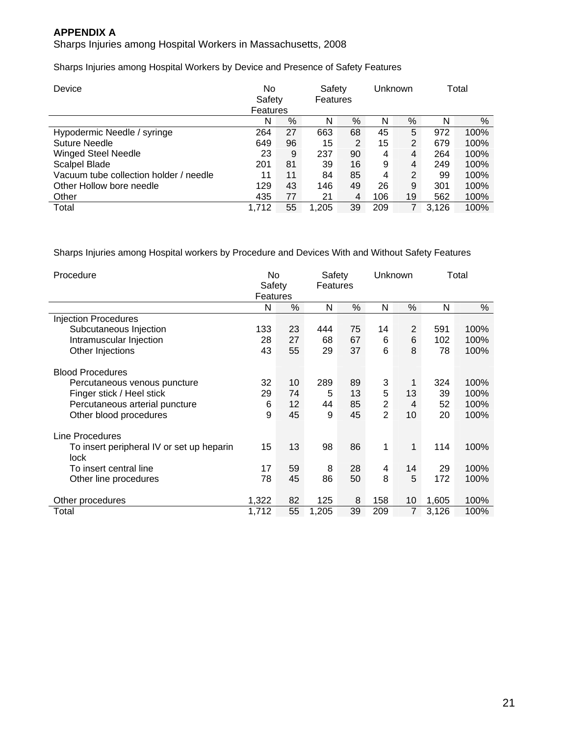Sharps Injuries among Hospital Workers in Massachusetts, 2008

Sharps Injuries among Hospital Workers by Device and Presence of Safety Features

| Device                                 | No<br>Safety<br>Features |    | Safety<br>Features |                |     |    | Unknown |      |  | Total |
|----------------------------------------|--------------------------|----|--------------------|----------------|-----|----|---------|------|--|-------|
|                                        | N                        | %  | N                  | $\%$           | N   | %  | N       | $\%$ |  |       |
| Hypodermic Needle / syringe            | 264                      | 27 | 663                | 68             | 45  | 5  | 972     | 100% |  |       |
| <b>Suture Needle</b>                   | 649                      | 96 | 15                 | $\overline{2}$ | 15  | 2  | 679     | 100% |  |       |
| <b>Winged Steel Needle</b>             | 23                       | 9  | 237                | 90             | 4   | 4  | 264     | 100% |  |       |
| Scalpel Blade                          | 201                      | 81 | 39                 | 16             | 9   | 4  | 249     | 100% |  |       |
| Vacuum tube collection holder / needle | 11                       | 11 | 84                 | 85             | 4   | 2  | 99      | 100% |  |       |
| Other Hollow bore needle               | 129                      | 43 | 146                | 49             | 26  | 9  | 301     | 100% |  |       |
| Other                                  | 435                      | 77 | 21                 | 4              | 106 | 19 | 562     | 100% |  |       |
| Total                                  | 1.712                    | 55 | 1.205              | 39             | 209 |    | 3.126   | 100% |  |       |

Sharps Injuries among Hospital workers by Procedure and Devices With and Without Safety Features

| Procedure                                                |       | No<br>Safety<br>Features |       | Safety<br>Features |                |                |       | Unknown |  | Total |
|----------------------------------------------------------|-------|--------------------------|-------|--------------------|----------------|----------------|-------|---------|--|-------|
|                                                          | N     | %                        | N     | $\%$               | N              | %              | N     | %       |  |       |
| <b>Injection Procedures</b>                              |       |                          |       |                    |                |                |       |         |  |       |
| Subcutaneous Injection                                   | 133   | 23                       | 444   | 75                 | 14             | 2              | 591   | 100%    |  |       |
| Intramuscular Injection                                  | 28    | 27                       | 68    | 67                 | 6              | 6              | 102   | 100%    |  |       |
| Other Injections                                         | 43    | 55                       | 29    | 37                 | 6              | 8              | 78    | 100%    |  |       |
| <b>Blood Procedures</b>                                  |       |                          |       |                    |                |                |       |         |  |       |
| Percutaneous venous puncture                             | 32    | 10                       | 289   | 89                 | 3              | 1              | 324   | 100%    |  |       |
| Finger stick / Heel stick                                | 29    | 74                       | 5     | 13                 | 5              | 13             | 39    | 100%    |  |       |
| Percutaneous arterial puncture                           | 6     | 12                       | 44    | 85                 | $\overline{2}$ | $\overline{4}$ | 52    | 100%    |  |       |
| Other blood procedures                                   | 9     | 45                       | 9     | 45                 | $\overline{2}$ | 10             | 20    | 100%    |  |       |
| Line Procedures                                          |       |                          |       |                    |                |                |       |         |  |       |
| To insert peripheral IV or set up heparin<br><b>lock</b> | 15    | 13                       | 98    | 86                 | 1              | 1              | 114   | 100%    |  |       |
| To insert central line                                   | 17    | 59                       | 8     | 28                 | 4              | 14             | 29    | 100%    |  |       |
| Other line procedures                                    | 78    | 45                       | 86    | 50                 | 8              | 5              | 172   | 100%    |  |       |
| Other procedures                                         | 1,322 | 82                       | 125   | 8                  | 158            | 10             | 1,605 | 100%    |  |       |
| Total                                                    | 1,712 | 55                       | 1,205 | 39                 | 209            | $\overline{7}$ | 3,126 | 100%    |  |       |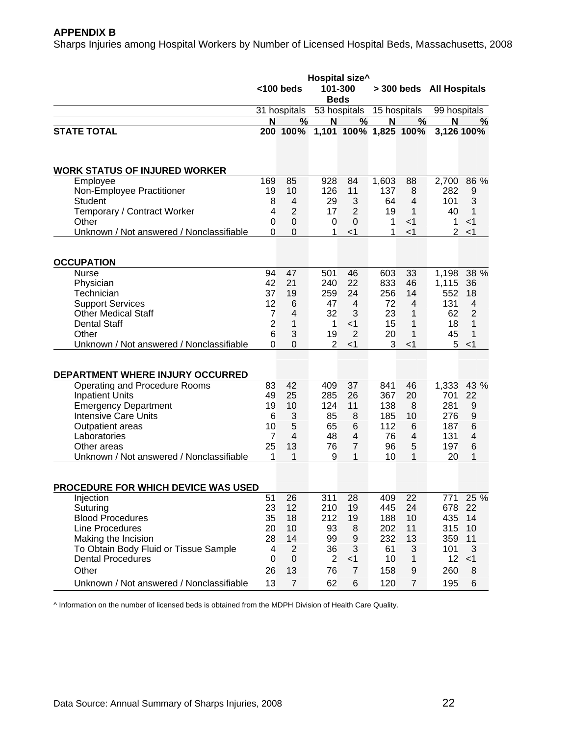#### **APPENDIX B**

Sharps Injuries among Hospital Workers by Number of Licensed Hospital Beds, Massachusetts, 2008

|                                                                                                                                                                                                                      | Hospital size <sup>^</sup><br>101-300<br>$<$ 100 beds<br><b>Beds</b>      |                                                                        |                                                                       |                                                                                            | > 300 beds All Hospitals                                  |                                                                        |                                                            |                                                          |
|----------------------------------------------------------------------------------------------------------------------------------------------------------------------------------------------------------------------|---------------------------------------------------------------------------|------------------------------------------------------------------------|-----------------------------------------------------------------------|--------------------------------------------------------------------------------------------|-----------------------------------------------------------|------------------------------------------------------------------------|------------------------------------------------------------|----------------------------------------------------------|
|                                                                                                                                                                                                                      |                                                                           | 31 hospitals                                                           |                                                                       | 53 hospitals                                                                               |                                                           | 15 hospitals                                                           |                                                            | 99 hospitals                                             |
|                                                                                                                                                                                                                      | N                                                                         | %                                                                      | N                                                                     | $\frac{9}{6}$                                                                              | N                                                         | $\frac{0}{0}$                                                          | N                                                          | <u>%</u>                                                 |
| <b>STATE TOTAL</b>                                                                                                                                                                                                   |                                                                           | 200 100%                                                               |                                                                       | 1,101 100% 1,825 100%                                                                      |                                                           |                                                                        |                                                            | 3,126 100%                                               |
| <b>WORK STATUS OF INJURED WORKER</b>                                                                                                                                                                                 |                                                                           |                                                                        |                                                                       |                                                                                            |                                                           |                                                                        |                                                            |                                                          |
| Employee<br>Non-Employee Practitioner<br>Student                                                                                                                                                                     | 169<br>19<br>8                                                            | 85<br>10<br>$\overline{4}$                                             | 928<br>126<br>29                                                      | 84<br>11<br>3                                                                              | 1,603<br>137<br>64                                        | 88<br>8<br>$\overline{4}$                                              | 2,700<br>282<br>101                                        | 86 %<br>9<br>3                                           |
| Temporary / Contract Worker<br>Other                                                                                                                                                                                 | 4<br>$\overline{0}$                                                       | $\overline{2}$<br>$\Omega$                                             | 17<br>0                                                               | $\overline{2}$<br>$\Omega$                                                                 | 19<br>1                                                   | 1<br>$<$ 1                                                             | 40<br>1                                                    | 1<br>$<$ 1                                               |
| Unknown / Not answered / Nonclassifiable                                                                                                                                                                             | $\Omega$                                                                  | $\mathbf{0}$                                                           | 1                                                                     | $<$ 1                                                                                      | 1                                                         | $<$ 1                                                                  | $\overline{2}$                                             | $<$ 1                                                    |
| <b>OCCUPATION</b>                                                                                                                                                                                                    |                                                                           |                                                                        |                                                                       |                                                                                            |                                                           |                                                                        |                                                            |                                                          |
| <b>Nurse</b><br>Physician<br>Technician<br><b>Support Services</b><br><b>Other Medical Staff</b><br><b>Dental Staff</b><br>Other<br>Unknown / Not answered / Nonclassifiable                                         | 94<br>42<br>37<br>12<br>$\overline{7}$<br>$\overline{2}$<br>6<br>$\Omega$ | 47<br>21<br>19<br>6<br>$\overline{4}$<br>1<br>3<br>$\Omega$            | 501<br>240<br>259<br>47<br>32<br>$\mathbf{1}$<br>19<br>$\overline{2}$ | 46<br>22<br>24<br>$\overline{4}$<br>3<br>$<$ 1<br>$\overline{2}$<br>$<$ 1                  | 603<br>833<br>256<br>72<br>23<br>15<br>20<br>3            | 33<br>46<br>14<br>$\overline{4}$<br>$\mathbf{1}$<br>1<br>1<br>$<$ 1    | 1,198<br>1,115<br>552<br>131<br>62<br>18<br>45<br>5        | 38 %<br>36<br>18<br>4<br>$\overline{2}$<br>1<br>1<br>< 1 |
| DEPARTMENT WHERE INJURY OCCURRED                                                                                                                                                                                     |                                                                           |                                                                        |                                                                       |                                                                                            |                                                           |                                                                        |                                                            |                                                          |
| Operating and Procedure Rooms<br><b>Inpatient Units</b><br><b>Emergency Department</b><br><b>Intensive Care Units</b><br>Outpatient areas<br>Laboratories<br>Other areas<br>Unknown / Not answered / Nonclassifiable | 83<br>49<br>19<br>6<br>10<br>7<br>25<br>1                                 | 42<br>25<br>10<br>3<br>$\overline{5}$<br>$\overline{4}$<br>13<br>1     | 409<br>285<br>124<br>85<br>65<br>48<br>76<br>9                        | 37<br>26<br>11<br>8<br>6<br>4<br>$\overline{7}$<br>1                                       | 841<br>367<br>138<br>185<br>112<br>76<br>96<br>10         | 46<br>20<br>8<br>10<br>6<br>4<br>5<br>1                                | 1,333<br>701<br>281<br>276<br>187<br>131<br>197<br>20      | 43 %<br>22<br>9<br>9<br>6<br>4<br>6<br>1                 |
| <b>PROCEDURE FOR WHICH DEVICE WAS USED</b>                                                                                                                                                                           |                                                                           |                                                                        |                                                                       |                                                                                            |                                                           |                                                                        |                                                            |                                                          |
| Injection<br>Suturing<br><b>Blood Procedures</b><br>Line Procedures<br>Making the Incision<br>To Obtain Body Fluid or Tissue Sample<br><b>Dental Procedures</b><br>Other<br>Unknown / Not answered / Nonclassifiable | 51<br>23<br>35<br>20<br>28<br>4<br>$\Omega$<br>26<br>13                   | 26<br>12<br>18<br>10<br>14<br>2<br>$\mathbf 0$<br>13<br>$\overline{7}$ | 311<br>210<br>212<br>93<br>99<br>36<br>$\overline{2}$<br>76<br>62     | 28<br>19<br>19<br>8<br>$\boldsymbol{9}$<br>3<br>$<$ 1<br>$\overline{7}$<br>$6\phantom{1}6$ | 409<br>445<br>188<br>202<br>232<br>61<br>10<br>158<br>120 | 22<br>24<br>10<br>11<br>13<br>3<br>$\mathbf{1}$<br>9<br>$\overline{7}$ | 771<br>678<br>435<br>315<br>359<br>101<br>12<br>260<br>195 | 25 %<br>22<br>14<br>10<br>11<br>3<br>$<$ 1<br>8<br>6     |

^ Information on the number of licensed beds is obtained from the MDPH Division of Health Care Quality.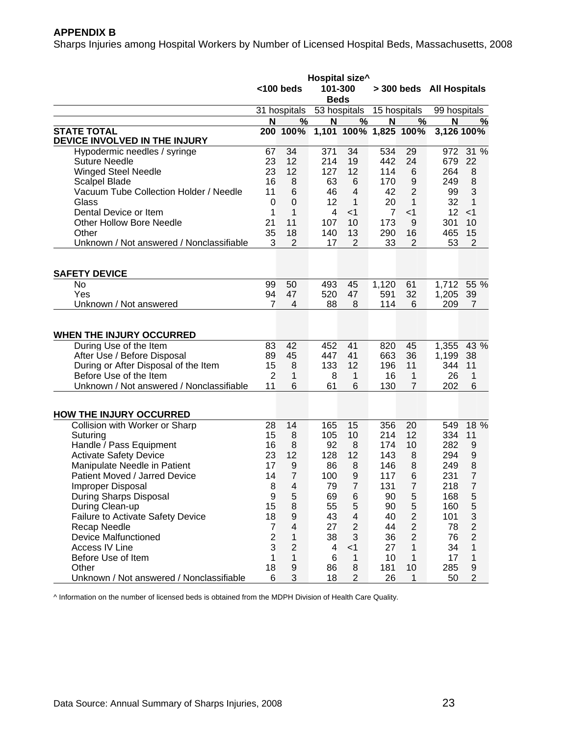#### **APPENDIX B**

Sharps Injuries among Hospital Workers by Number of Licensed Hospital Beds, Massachusetts, 2008

|                                          |                         | $<$ 100 beds     | 101-300        | Hospital size^          |              |                  | > 300 beds All Hospitals |                |
|------------------------------------------|-------------------------|------------------|----------------|-------------------------|--------------|------------------|--------------------------|----------------|
|                                          |                         |                  | <b>Beds</b>    |                         |              |                  |                          |                |
|                                          |                         | 31 hospitals     |                | 53 hospitals            | 15 hospitals |                  | 99 hospitals             |                |
|                                          | $\overline{\mathsf{N}}$ | %                | N              | $\frac{9}{6}$           | N            | %                | N                        | $\frac{0}{2}$  |
| <b>STATE TOTAL</b>                       |                         | 200 100%         |                | 1,101 100% 1,825 100%   |              |                  |                          | 3,126 100%     |
| DEVICE INVOLVED IN THE INJURY            |                         |                  |                |                         |              |                  |                          |                |
| Hypodermic needles / syringe             | 67                      | 34               | 371            | 34                      | 534          | 29               | 972                      | 31 %           |
| <b>Suture Needle</b>                     | 23                      | 12               | 214            | 19                      | 442          | 24               | 679                      | 22             |
| <b>Winged Steel Needle</b>               | 23                      | 12               | 127            | 12                      | 114          | 6                | 264                      | 8              |
| <b>Scalpel Blade</b>                     | 16                      | 8                | 63             | $6\phantom{1}6$         | 170          | $\boldsymbol{9}$ | 249                      | 8              |
| Vacuum Tube Collection Holder / Needle   | 11                      | 6                | 46             | $\overline{4}$          | 42           | $\overline{2}$   | 99                       | 3              |
| Glass                                    | 0                       | 0                | 12             | 1                       | 20           | 1                | 32                       | 1              |
| Dental Device or Item                    | 1                       | 1                | $\overline{4}$ | $<$ 1                   | 7            | $<$ 1            | 12                       | $<$ 1          |
| <b>Other Hollow Bore Needle</b>          | 21                      | 11               | 107            | 10                      | 173          | 9                | 301                      | 10             |
| Other                                    | 35                      | 18               | 140            | 13                      | 290          | 16               | 465                      | 15             |
| Unknown / Not answered / Nonclassifiable | 3                       | $\overline{2}$   | 17             | $\overline{2}$          | 33           | 2                | 53                       | $\overline{2}$ |
|                                          |                         |                  |                |                         |              |                  |                          |                |
| <b>SAFETY DEVICE</b>                     |                         |                  |                |                         |              |                  |                          |                |
| No                                       | 99                      | 50               | 493            | 45                      | 1,120        | 61               | 1,712                    | 55 %           |
| Yes                                      | 94                      | 47               | 520            | 47                      | 591          | 32               | 1,205                    | 39             |
| Unknown / Not answered                   | 7                       | 4                | 88             | 8                       | 114          | 6                | 209                      | $\overline{7}$ |
|                                          |                         |                  |                |                         |              |                  |                          |                |
| WHEN THE INJURY OCCURRED                 |                         |                  |                |                         |              |                  |                          |                |
| During Use of the Item                   | 83                      | 42               | 452            | 41                      | 820          | 45               | 1,355                    | 43 %           |
| After Use / Before Disposal              | 89                      | 45               | 447            | 41                      | 663          | 36               | 1,199                    | 38             |
| During or After Disposal of the Item     | 15                      | $\,8\,$          | 133            | 12                      | 196          | 11               | 344                      | 11             |
| Before Use of the Item                   | $\overline{2}$          | 1                | 8              | 1                       | 16           | $\mathbf{1}$     | 26                       | 1              |
| Unknown / Not answered / Nonclassifiable | 11                      | 6                | 61             | 6                       | 130          | $\overline{7}$   | 202                      | 6              |
|                                          |                         |                  |                |                         |              |                  |                          |                |
| <b>HOW THE INJURY OCCURRED</b>           |                         |                  |                |                         |              |                  |                          |                |
| Collision with Worker or Sharp           | 28                      | 14               | 165            | 15                      | 356          | 20               | 549                      | 18 %           |
| Suturing                                 | 15                      | 8                | 105            | 10                      | 214          | 12               | 334                      | 11             |
| Handle / Pass Equipment                  | 16                      | 8                | 92             | 8                       | 174          | 10               | 282                      | 9              |
| <b>Activate Safety Device</b>            | 23                      | 12               | 128            | 12                      | 143          | 8                | 294                      | 9              |
| Manipulate Needle in Patient             | 17                      | 9                | 86             | 8                       | 146          | 8                | 249                      | 8              |
| Patient Moved / Jarred Device            | 14                      | $\overline{7}$   | 100            | 9                       | 117          | 6                | 231                      | $\overline{7}$ |
| Improper Disposal                        | 8                       | 4                | 79             | 7                       | 131          | 7                | 218                      | $\overline{7}$ |
| During Sharps Disposal                   | 9                       | 5                | 69             | $\,6$                   | 90           | $\mathbf 5$      | 168                      | 5              |
| During Clean-up                          | 15                      | $\,8\,$          | 55             | 5                       | 90           | 5                | 160                      | 5              |
| <b>Failure to Activate Safety Device</b> | 18                      | $\boldsymbol{9}$ | 43             | $\overline{\mathbf{4}}$ | 40           | $\boldsymbol{2}$ | 101                      | 3              |
| Recap Needle                             | $\overline{7}$          | 4                | 27             | $\overline{2}$          | 44           | $\overline{c}$   | 78                       | $\overline{c}$ |
| <b>Device Malfunctioned</b>              | $\overline{2}$          | 1                | 38             | 3                       | 36           | $\mathbf 2$      | 76                       | $\overline{2}$ |
| Access IV Line                           | 3                       | $\overline{2}$   | 4              | $<$ 1                   | 27           | 1                | 34                       | 1              |
| Before Use of Item                       | 1                       | 1                | 6              | 1                       | 10           | 1                | 17                       | 1              |
| Other                                    | 18                      | $\boldsymbol{9}$ | 86             | 8                       | 181          | 10               | 285                      | 9              |
| Unknown / Not answered / Nonclassifiable | 6                       | 3                | 18             | $\overline{2}$          | 26           | $\mathbf{1}$     | 50                       | $\overline{c}$ |

^ Information on the number of licensed beds is obtained from the MDPH Division of Health Care Quality.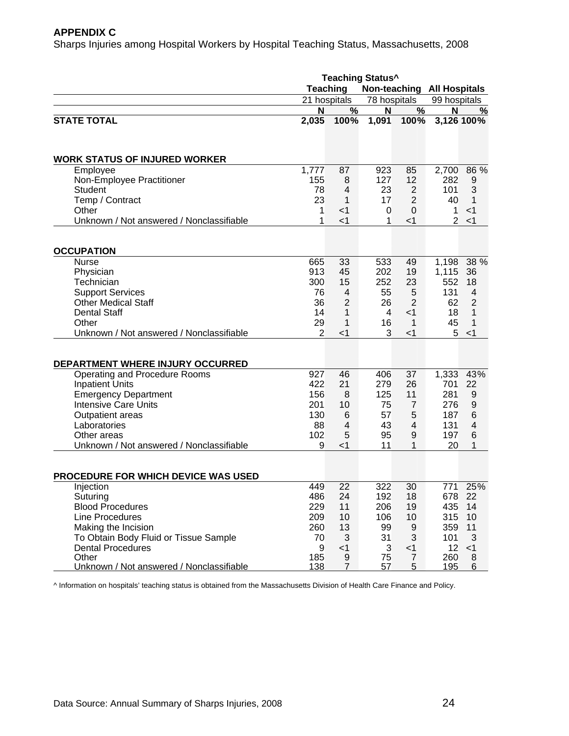#### **APPENDIX C**

Sharps Injuries among Hospital Workers by Hospital Teaching Status, Massachusetts, 2008

|                                          | <b>Teaching Status^</b> |                            |                |                |                |                  |  |
|------------------------------------------|-------------------------|----------------------------|----------------|----------------|----------------|------------------|--|
|                                          | <b>Teaching</b>         | Non-teaching All Hospitals |                |                |                |                  |  |
|                                          |                         | 21 hospitals               | 78 hospitals   |                | 99 hospitals   |                  |  |
|                                          | N                       | $\%$                       | N              | %              | N              | $\frac{0}{0}$    |  |
| <b>STATE TOTAL</b>                       | 2,035                   | 100%                       | 1,091          | 100%           |                | 3,126 100%       |  |
|                                          |                         |                            |                |                |                |                  |  |
| <b>WORK STATUS OF INJURED WORKER</b>     |                         |                            |                |                |                |                  |  |
| Employee                                 | 1,777                   | 87                         | 923            | 85             | 2,700          | 86 %             |  |
| Non-Employee Practitioner                | 155                     | 8                          | 127            | 12             | 282            | 9                |  |
| <b>Student</b>                           | 78                      | $\overline{4}$             | 23             | $\overline{2}$ | 101            | 3                |  |
| Temp / Contract                          | 23                      | 1                          | 17             | $\overline{2}$ | 40             | 1                |  |
| Other                                    | 1                       | $<$ 1                      | 0              | 0              | 1              | $<$ 1            |  |
| Unknown / Not answered / Nonclassifiable | 1                       | $<$ 1                      | 1              | $<$ 1          | $\overline{2}$ | < 1              |  |
|                                          |                         |                            |                |                |                |                  |  |
| <b>OCCUPATION</b>                        |                         |                            |                |                |                |                  |  |
| <b>Nurse</b>                             | 665                     | 33                         | 533            | 49             | 1,198          | 38 %             |  |
| Physician                                | 913                     | 45                         | 202            | 19             | 1,115          | 36               |  |
| Technician                               | 300                     | 15                         | 252            | 23             | 552            | 18               |  |
| <b>Support Services</b>                  | 76                      | 4                          | 55             | 5              | 131            | $\overline{4}$   |  |
| <b>Other Medical Staff</b>               | 36                      | $\overline{2}$             | 26             | $\overline{2}$ | 62             | $\overline{2}$   |  |
| <b>Dental Staff</b>                      | 14                      | 1                          | $\overline{4}$ | $<$ 1          | 18             | 1                |  |
| Other                                    | 29                      | 1                          | 16             | 1              | 45             | 1                |  |
| Unknown / Not answered / Nonclassifiable | $\overline{2}$          | $<$ 1                      | 3              | $<$ 1          | 5              | $<$ 1            |  |
|                                          |                         |                            |                |                |                |                  |  |
| DEPARTMENT WHERE INJURY OCCURRED         |                         |                            |                |                |                |                  |  |
| Operating and Procedure Rooms            | 927                     | 46                         | 406            | 37             | 1,333          | 43%              |  |
| <b>Inpatient Units</b>                   | 422                     | 21                         | 279            | 26             | 701            | 22               |  |
| <b>Emergency Department</b>              | 156                     | 8                          | 125            | 11             | 281            | 9                |  |
| <b>Intensive Care Units</b>              | 201                     | 10                         | 75             | $\overline{7}$ | 276            | $\boldsymbol{9}$ |  |
| Outpatient areas                         | 130                     | $6\phantom{1}6$            | 57             | 5              | 187            | $6\phantom{1}6$  |  |
| Laboratories                             | 88                      | 4                          | 43             | 4              | 131            | 4                |  |
| Other areas                              | 102                     | 5                          | 95             | 9              | 197            | 6                |  |
| Unknown / Not answered / Nonclassifiable | 9                       | $<$ 1                      | 11             | 1              | 20             | 1                |  |
|                                          |                         |                            |                |                |                |                  |  |
| PROCEDURE FOR WHICH DEVICE WAS USED      |                         |                            |                |                |                |                  |  |
| Injection                                | 449                     | 22                         | 322            | 30             | 771            | 25%              |  |
| Suturing                                 | 486                     | 24                         | 192            | 18             |                | 678 22           |  |
| <b>Blood Procedures</b>                  | 229                     | 11                         | 206            | 19             | 435            | 14               |  |
| Line Procedures                          | 209                     | 10                         | 106            | 10             | 315            | 10               |  |
| Making the Incision                      | 260                     | 13                         | 99             | 9              | 359            | 11               |  |
| To Obtain Body Fluid or Tissue Sample    | 70                      | 3                          | 31             | 3              | 101            | 3                |  |
| <b>Dental Procedures</b>                 | 9                       | $<$ 1                      | 3              | $<$ 1          | 12             | $<$ 1            |  |
| Other                                    | 185                     | 9                          | 75             | $\overline{7}$ | 260            | 8                |  |
| Unknown / Not answered / Nonclassifiable | 138                     | 7                          | 57             | $\overline{5}$ | 195            | 6                |  |

^ Information on hospitals' teaching status is obtained from the Massachusetts Division of Health Care Finance and Policy.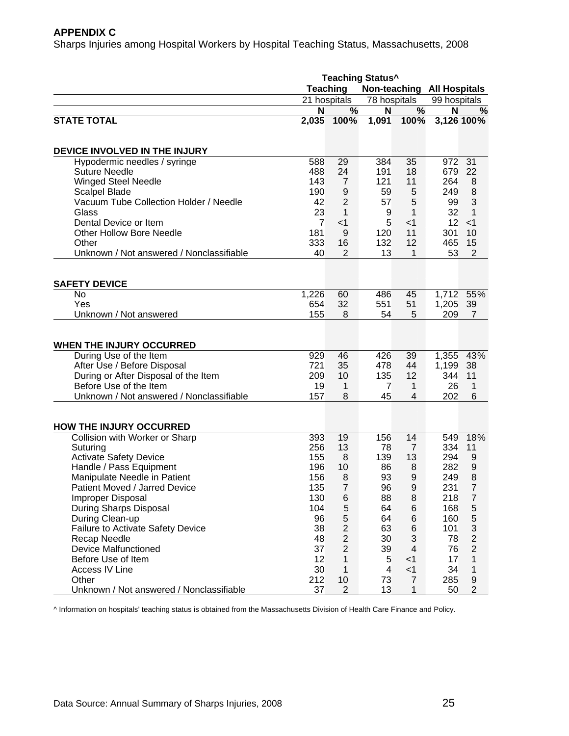#### **APPENDIX C**

Sharps Injuries among Hospital Workers by Hospital Teaching Status, Massachusetts, 2008

|                                          | <b>Teaching Status^</b> |                  |                |                            |              |                |  |
|------------------------------------------|-------------------------|------------------|----------------|----------------------------|--------------|----------------|--|
|                                          |                         | <b>Teaching</b>  |                | Non-teaching All Hospitals |              |                |  |
|                                          |                         | 21 hospitals     | 78 hospitals   |                            | 99 hospitals |                |  |
|                                          | N                       | %                | N              | $\frac{9}{6}$              | N            | %              |  |
| <b>STATE TOTAL</b>                       | 2,035                   | 100%             | 1,091          | 100%                       |              | 3,126 100%     |  |
| DEVICE INVOLVED IN THE INJURY            |                         |                  |                |                            |              |                |  |
| Hypodermic needles / syringe             | 588                     | 29               | 384            | 35                         | 972          | 31             |  |
| <b>Suture Needle</b>                     | 488                     | 24               | 191            | 18                         | 679          | 22             |  |
| <b>Winged Steel Needle</b>               | 143                     | $\overline{7}$   | 121            | 11                         | 264          | 8              |  |
| <b>Scalpel Blade</b>                     | 190                     | 9                | 59             | 5                          | 249          | 8              |  |
| Vacuum Tube Collection Holder / Needle   | 42                      | $\overline{2}$   | 57             | 5                          | 99           | 3              |  |
| Glass                                    | 23                      | 1                | 9              | 1                          | 32           | 1              |  |
| Dental Device or Item                    | 7                       | $<$ 1            | 5              | $<$ 1                      | 12           | $<$ 1          |  |
| <b>Other Hollow Bore Needle</b>          | 181                     | 9                | 120            | 11                         | 301          | 10             |  |
| Other                                    | 333                     | 16               | 132            | 12                         | 465          | 15             |  |
| Unknown / Not answered / Nonclassifiable | 40                      | 2                | 13             | 1                          | 53           | $\overline{2}$ |  |
|                                          |                         |                  |                |                            |              |                |  |
| <b>SAFETY DEVICE</b>                     |                         |                  |                |                            |              |                |  |
| No                                       | 1,226                   | 60               | 486            | 45                         | 1,712        | 55%            |  |
| Yes                                      | 654                     | 32               | 551            | 51                         | 1,205        | 39             |  |
| Unknown / Not answered                   | 155                     | 8                | 54             | 5                          | 209          | $\overline{7}$ |  |
| <b>WHEN THE INJURY OCCURRED</b>          |                         |                  |                |                            |              |                |  |
| During Use of the Item                   | 929                     | 46               | 426            | 39                         | 1,355        | 43%            |  |
| After Use / Before Disposal              | 721                     | 35               | 478            | 44                         | 1,199        | 38             |  |
| During or After Disposal of the Item     | 209                     | 10               | 135            | 12                         | 344          | 11             |  |
| Before Use of the Item                   | 19                      | 1                | $\overline{7}$ | 1                          | 26           | 1              |  |
| Unknown / Not answered / Nonclassifiable | 157                     | 8                | 45             | $\overline{4}$             | 202          | 6              |  |
|                                          |                         |                  |                |                            |              |                |  |
| <b>HOW THE INJURY OCCURRED</b>           |                         |                  |                |                            |              |                |  |
| Collision with Worker or Sharp           | 393                     | 19               | 156            | 14                         | 549          | 18%            |  |
| Suturing                                 | 256                     | 13               | 78             | $\overline{7}$             | 334          | 11             |  |
| <b>Activate Safety Device</b>            | 155                     | 8                | 139            | 13                         | 294          | 9              |  |
| Handle / Pass Equipment                  | 196                     | 10               | 86             | 8                          | 282          | 9              |  |
| Manipulate Needle in Patient             | 156                     | 8                | 93             | 9                          | 249          | 8              |  |
| Patient Moved / Jarred Device            | 135                     | $\boldsymbol{7}$ | 96             | 9                          | 231          | $\overline{7}$ |  |
| Improper Disposal                        | 130                     | 6                | 88             | 8                          | 218          | $\overline{7}$ |  |
| During Sharps Disposal                   | 104                     | 5                | 64             | 6                          | 168          | 5              |  |
| During Clean-up                          | 96                      | 5                | 64             | 6                          | 160          | 5              |  |
| <b>Failure to Activate Safety Device</b> | 38                      | $\overline{c}$   | 63             | 6                          | 101          | 3              |  |
| Recap Needle                             | 48                      | $\mathbf{2}$     | 30             | $\sqrt{3}$                 | 78           | $\overline{2}$ |  |
| <b>Device Malfunctioned</b>              | 37                      | $\overline{2}$   | 39             | $\overline{\mathbf{4}}$    | 76           | $\overline{2}$ |  |
| Before Use of Item                       | 12                      | $\mathbf{1}$     | 5              | $<$ 1                      | 17           | 1              |  |
| Access IV Line                           | 30                      | $\mathbf{1}$     | $\overline{4}$ | $<$ 1                      | 34           | 1              |  |
| Other                                    | 212                     | 10               | 73             | $\overline{7}$             | 285          | 9              |  |
| Unknown / Not answered / Nonclassifiable | 37                      | $\overline{2}$   | 13             | 1                          | 50           | $\overline{c}$ |  |

^ Information on hospitals' teaching status is obtained from the Massachusetts Division of Health Care Finance and Policy.